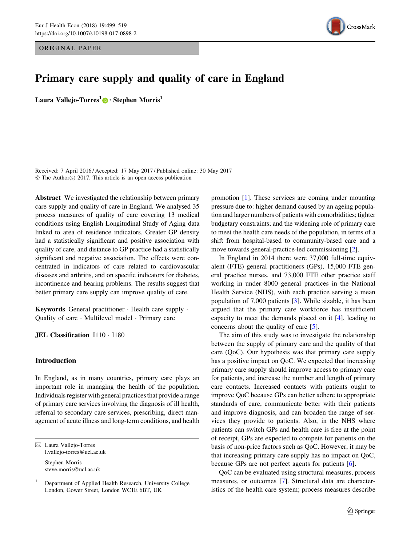ORIGINAL PAPER



# Primary care supply and quality of care in England

Laura Vallejo-Torres<sup>1</sup> [•](http://orcid.org/0000-0001-5833-6066) Stephen Morris<sup>1</sup>

Received: 7 April 2016 / Accepted: 17 May 2017 / Published online: 30 May 2017 © The Author(s) 2017. This article is an open access publication

Abstract We investigated the relationship between primary care supply and quality of care in England. We analysed 35 process measures of quality of care covering 13 medical conditions using English Longitudinal Study of Aging data linked to area of residence indicators. Greater GP density had a statistically significant and positive association with quality of care, and distance to GP practice had a statistically significant and negative association. The effects were concentrated in indicators of care related to cardiovascular diseases and arthritis, and on specific indicators for diabetes, incontinence and hearing problems. The results suggest that better primary care supply can improve quality of care.

Keywords General practitioner - Health care supply - Quality of care - Multilevel model - Primary care

JEL Classification  $1110 \cdot 1180$ 

# Introduction

In England, as in many countries, primary care plays an important role in managing the health of the population. Individuals register with general practices that provide a range of primary care services involving the diagnosis of ill health, referral to secondary care services, prescribing, direct management of acute illness and long-term conditions, and health

 $\boxtimes$  Laura Vallejo-Torres l.vallejo-torres@ucl.ac.uk

> Stephen Morris steve.morris@ucl.ac.uk

promotion [\[1\]](#page-19-0). These services are coming under mounting pressure due to: higher demand caused by an ageing population and larger numbers of patients with comorbidities; tighter budgetary constraints; and the widening role of primary care to meet the health care needs of the population, in terms of a shift from hospital-based to community-based care and a move towards general-practice-led commissioning [\[2](#page-19-0)].

In England in 2014 there were 37,000 full-time equivalent (FTE) general practitioners (GPs), 15,000 FTE general practice nurses, and 73,000 FTE other practice staff working in under 8000 general practices in the National Health Service (NHS), with each practice serving a mean population of 7,000 patients [\[3](#page-19-0)]. While sizable, it has been argued that the primary care workforce has insufficient capacity to meet the demands placed on it [[4\]](#page-19-0), leading to concerns about the quality of care [\[5](#page-19-0)].

The aim of this study was to investigate the relationship between the supply of primary care and the quality of that care (QoC). Our hypothesis was that primary care supply has a positive impact on QoC. We expected that increasing primary care supply should improve access to primary care for patients, and increase the number and length of primary care contacts. Increased contacts with patients ought to improve QoC because GPs can better adhere to appropriate standards of care, communicate better with their patients and improve diagnosis, and can broaden the range of services they provide to patients. Also, in the NHS where patients can switch GPs and health care is free at the point of receipt, GPs are expected to compete for patients on the basis of non-price factors such as QoC. However, it may be that increasing primary care supply has no impact on QoC, because GPs are not perfect agents for patients [[6\]](#page-19-0).

QoC can be evaluated using structural measures, process measures, or outcomes [\[7](#page-19-0)]. Structural data are characteristics of the health care system; process measures describe

<sup>1</sup> Department of Applied Health Research, University College London, Gower Street, London WC1E 6BT, UK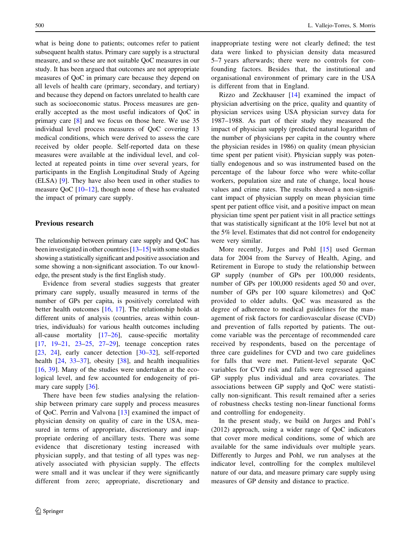what is being done to patients; outcomes refer to patient subsequent health status. Primary care supply is a structural measure, and so these are not suitable QoC measures in our study. It has been argued that outcomes are not appropriate measures of QoC in primary care because they depend on all levels of health care (primary, secondary, and tertiary) and because they depend on factors unrelated to health care such as socioeconomic status. Process measures are generally accepted as the most useful indicators of QoC in primary care [\[8](#page-19-0)] and we focus on those here. We use 35 individual level process measures of QoC covering 13 medical conditions, which were derived to assess the care received by older people. Self-reported data on these measures were available at the individual level, and collected at repeated points in time over several years, for participants in the English Longitudinal Study of Ageing (ELSA) [[9\]](#page-19-0). They have also been used in other studies to measure QoC [[10–12](#page-19-0)], though none of these has evaluated the impact of primary care supply.

#### Previous research

The relationship between primary care supply and QoC has been investigated in other countries [\[13–15\]](#page-19-0) with some studies showing a statistically significant and positive association and some showing a non-significant association. To our knowledge, the present study is the first English study.

Evidence from several studies suggests that greater primary care supply, usually measured in terms of the number of GPs per capita, is positively correlated with better health outcomes [[16,](#page-19-0) [17](#page-19-0)]. The relationship holds at different units of analysis (countries, areas within countries, individuals) for various health outcomes including all-cause mortality [\[17–26](#page-19-0)], cause-specific mortality [\[17](#page-19-0), [19–21,](#page-19-0) [23–25,](#page-19-0) [27](#page-19-0)[–29](#page-20-0)], teenage conception rates [\[23](#page-19-0), [24](#page-19-0)], early cancer detection [[30–32\]](#page-20-0), self-reported health [[24,](#page-19-0) [33–37\]](#page-20-0), obesity [[38\]](#page-20-0), and health inequalities [\[16](#page-19-0), [39](#page-20-0)]. Many of the studies were undertaken at the ecological level, and few accounted for endogeneity of primary care supply [\[36](#page-20-0)].

There have been few studies analysing the relationship between primary care supply and process measures of QoC. Perrin and Valvona [[13\]](#page-19-0) examined the impact of physician density on quality of care in the USA, measured in terms of appropriate, discretionary and inappropriate ordering of ancillary tests. There was some evidence that discretionary testing increased with physician supply, and that testing of all types was negatively associated with physician supply. The effects were small and it was unclear if they were significantly different from zero; appropriate, discretionary and inappropriate testing were not clearly defined; the test data were linked to physician density data measured 5–7 years afterwards; there were no controls for confounding factors. Besides that, the institutional and organisational environment of primary care in the USA is different from that in England.

Rizzo and Zeckhauser [[14\]](#page-19-0) examined the impact of physician advertising on the price, quality and quantity of physician services using USA physician survey data for 1987–1988. As part of their study they measured the impact of physician supply (predicted natural logarithm of the number of physicians per capita in the country where the physician resides in 1986) on quality (mean physician time spent per patient visit). Physician supply was potentially endogenous and so was instrumented based on the percentage of the labour force who were white-collar workers, population size and rate of change, local house values and crime rates. The results showed a non-significant impact of physician supply on mean physician time spent per patient office visit, and a positive impact on mean physician time spent per patient visit in all practice settings that was statistically significant at the 10% level but not at the 5% level. Estimates that did not control for endogeneity were very similar.

More recently, Jurges and Pohl [\[15\]](#page-19-0) used German data for 2004 from the Survey of Health, Aging, and Retirement in Europe to study the relationship between GP supply (number of GPs per 100,000 residents, number of GPs per 100,000 residents aged 50 and over, number of GPs per 100 square kilometres) and QoC provided to older adults. QoC was measured as the degree of adherence to medical guidelines for the management of risk factors for cardiovascular disease (CVD) and prevention of falls reported by patients. The outcome variable was the percentage of recommended care received by respondents, based on the percentage of three care guidelines for CVD and two care guidelines for falls that were met. Patient-level separate QoC variables for CVD risk and falls were regressed against GP supply plus individual and area covariates. The associations between GP supply and QoC were statistically non-significant. This result remained after a series of robustness checks testing non-linear functional forms and controlling for endogeneity.

In the present study, we build on Jurges and Pohl's (2012) approach, using a wider range of QoC indicators that cover more medical conditions, some of which are available for the same individuals over multiple years. Differently to Jurges and Pohl, we run analyses at the indicator level, controlling for the complex multilevel nature of our data, and measure primary care supply using measures of GP density and distance to practice.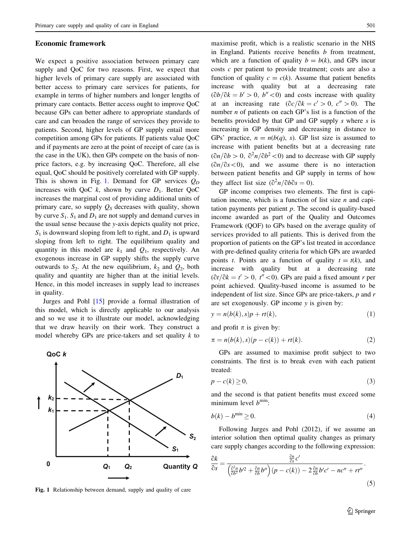#### <span id="page-2-0"></span>Economic framework

We expect a positive association between primary care supply and QoC for two reasons. First, we expect that higher levels of primary care supply are associated with better access to primary care services for patients, for example in terms of higher numbers and longer lengths of primary care contacts. Better access ought to improve QoC because GPs can better adhere to appropriate standards of care and can broaden the range of services they provide to patients. Second, higher levels of GP supply entail more competition among GPs for patients. If patients value QoC and if payments are zero at the point of receipt of care (as is the case in the UK), then GPs compete on the basis of nonprice factors, e.g. by increasing QoC. Therefore, all else equal, QoC should be positively correlated with GP supply. This is shown in Fig. 1. Demand for GP services  $O_D$ increases with QoC k, shown by curve  $D_1$ . Better QoC increases the marginal cost of providing additional units of primary care, so supply  $Q<sub>S</sub>$  decreases with quality, shown by curve  $S_1$ .  $S_1$  and  $D_1$  are not supply and demand curves in the usual sense because the y-axis depicts quality not price,  $S_1$  is downward sloping from left to right, and  $D_1$  is upward sloping from left to right. The equilibrium quality and quantity in this model are  $k_1$  and  $Q_1$ , respectively. An exogenous increase in GP supply shifts the supply curve outwards to  $S_2$ . At the new equilibrium,  $k_2$  and  $Q_2$ , both quality and quantity are higher than at the initial levels. Hence, in this model increases in supply lead to increases in quality.

Jurges and Pohl [\[15](#page-19-0)] provide a formal illustration of this model, which is directly applicable to our analysis and so we use it to illustrate our model, acknowledging that we draw heavily on their work. They construct a model whereby GPs are price-takers and set quality  $k$  to



Fig. 1 Relationship between demand, supply and quality of care

maximise profit, which is a realistic scenario in the NHS in England. Patients receive benefits  $b$  from treatment, which are a function of quality  $b = b(k)$ , and GPs incur costs c per patient to provide treatment; costs are also a function of quality  $c = c(k)$ . Assume that patient benefits increase with quality but at a decreasing rate  $(\partial b/\partial k = b' > 0, b'' < 0)$  and costs increase with quality at an increasing rate  $(\partial c/\partial k = c' > 0, c'' > 0)$ . The number  $n$  of patients on each GP's list is a function of the benefits provided by that GP and GP supply  $s$  where  $s$  is increasing in GP density and decreasing in distance to GPs' practice,  $n = n(b(q), s)$ . GP list size is assumed to increase with patient benefits but at a decreasing rate  $(\partial n/\partial b > 0, \partial^2 n/\partial b^2 < 0)$  and to decrease with GP supply  $(\partial n/\partial s < 0)$ , and we assume there is no interaction between patient benefits and GP supply in terms of how they affect list size  $\left(\frac{\partial^2 n}{\partial b \partial s} = 0\right)$ .

GP income comprises two elements. The first is capitation income, which is a function of list size  $n$  and capitation payments per patient  $p$ . The second is quality-based income awarded as part of the Quality and Outcomes Framework (QOF) to GPs based on the average quality of services provided to all patients. This is derived from the proportion of patients on the GP's list treated in accordance with pre-defined quality criteria for which GPs are awarded points t. Points are a function of quality  $t = t(k)$ , and increase with quality but at a decreasing rate  $(\partial t / \partial k = t' > 0, t'' < 0)$ . GPs are paid a fixed amount r per point achieved. Quality-based income is assumed to be independent of list size. Since GPs are price-takers,  $p$  and  $r$ are set exogenously. GP income y is given by:

$$
y = n(b(k), s)p + rt(k),
$$
\n<sup>(1)</sup>

and profit  $\pi$  is given by:

$$
\pi = n(b(k), s)(p - c(k)) + rt(k).
$$
 (2)

GPs are assumed to maximise profit subject to two constraints. The first is to break even with each patient treated:

$$
p - c(k) \ge 0,\tag{3}
$$

and the second is that patient benefits must exceed some minimum level  $b^{\min}$ :

$$
b(k) - b^{\min} \ge 0. \tag{4}
$$

Following Jurges and Pohl (2012), if we assume an interior solution then optimal quality changes as primary care supply changes according to the following expression:

$$
\frac{\partial k}{\partial s} = \frac{\frac{\partial n}{\partial s}c'}{\left(\frac{\partial^2 n}{\partial b^2}b'^2 + \frac{\partial n}{\partial b}b''\right)(p - c(k)) - 2\frac{\partial n}{\partial b}b'c' - nc'' + rt''}
$$
\n(5)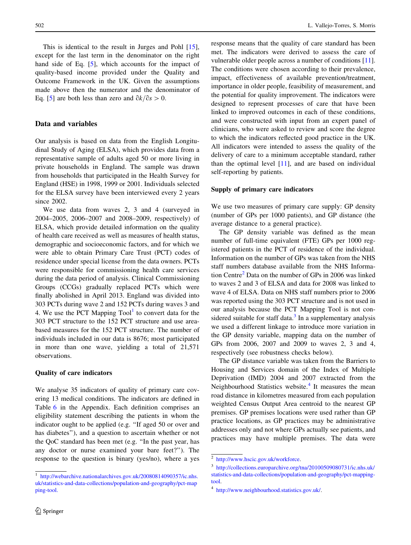This is identical to the result in Jurges and Pohl [\[15](#page-19-0)], except for the last term in the denominator on the right hand side of Eq. [[5\]](#page-2-0), which accounts for the impact of quality-based income provided under the Quality and Outcome Framework in the UK. Given the assumptions made above then the numerator and the denominator of Eq. [\[5](#page-2-0)] are both less than zero and  $\partial k/\partial s > 0$ .

# Data and variables

Our analysis is based on data from the English Longitudinal Study of Aging (ELSA), which provides data from a representative sample of adults aged 50 or more living in private households in England. The sample was drawn from households that participated in the Health Survey for England (HSE) in 1998, 1999 or 2001. Individuals selected for the ELSA survey have been interviewed every 2 years since 2002.

We use data from waves 2, 3 and 4 (surveyed in 2004–2005, 2006–2007 and 2008–2009, respectively) of ELSA, which provide detailed information on the quality of health care received as well as measures of health status, demographic and socioeconomic factors, and for which we were able to obtain Primary Care Trust (PCT) codes of residence under special license from the data owners. PCTs were responsible for commissioning health care services during the data period of analysis. Clinical Commissioning Groups (CCGs) gradually replaced PCTs which were finally abolished in April 2013. England was divided into 303 PCTs during wave 2 and 152 PCTs during waves 3 and 4. We use the PCT Mapping  $Tool<sup>1</sup>$  to convert data for the 303 PCT structure to the 152 PCT structure and use areabased measures for the 152 PCT structure. The number of individuals included in our data is 8676; most participated in more than one wave, yielding a total of 21,571 observations.

#### Quality of care indicators

We analyse 35 indicators of quality of primary care covering 13 medical conditions. The indicators are defined in Table [6](#page-13-0) in the Appendix. Each definition comprises an eligibility statement describing the patients in whom the indicator ought to be applied (e.g. "If aged 50 or over and has diabetes''), and a question to ascertain whether or not the QoC standard has been met (e.g. ''In the past year, has any doctor or nurse examined your bare feet?''). The response to the question is binary (yes/no), where a yes response means that the quality of care standard has been met. The indicators were derived to assess the care of vulnerable older people across a number of conditions [\[11](#page-19-0)]. The conditions were chosen according to their prevalence, impact, effectiveness of available prevention/treatment, importance in older people, feasibility of measurement, and the potential for quality improvement. The indicators were designed to represent processes of care that have been linked to improved outcomes in each of these conditions, and were constructed with input from an expert panel of clinicians, who were asked to review and score the degree to which the indicators reflected good practice in the UK. All indicators were intended to assess the quality of the delivery of care to a minimum acceptable standard, rather than the optimal level [[11\]](#page-19-0), and are based on individual self-reporting by patients.

#### Supply of primary care indicators

We use two measures of primary care supply: GP density (number of GPs per 1000 patients), and GP distance (the average distance to a general practice).

The GP density variable was defined as the mean number of full-time equivalent (FTE) GPs per 1000 registered patients in the PCT of residence of the individual. Information on the number of GPs was taken from the NHS staff numbers database available from the NHS Information Centre<sup>2</sup> Data on the number of GPs in 2006 was linked to waves 2 and 3 of ELSA and data for 2008 was linked to wave 4 of ELSA. Data on NHS staff numbers prior to 2006 was reported using the 303 PCT structure and is not used in our analysis because the PCT Mapping Tool is not considered suitable for staff data. $3 \text{ In a supplementary analysis}$ we used a different linkage to introduce more variation in the GP density variable, mapping data on the number of GPs from 2006, 2007 and 2009 to waves 2, 3 and 4, respectively (see robustness checks below).

The GP distance variable was taken from the Barriers to Housing and Services domain of the Index of Multiple Deprivation (IMD) 2004 and 2007 extracted from the Neighbourhood Statistics website. $4$  It measures the mean road distance in kilometres measured from each population weighted Census Output Area centroid to the nearest GP premises. GP premises locations were used rather than GP practice locations, as GP practices may be administrative addresses only and not where GPs actually see patients, and practices may have multiple premises. The data were

<sup>1</sup> [http://webarchive.nationalarchives.gov.uk/20080814090357/ic.nhs.](http://webarchive.nationalarchives.gov.uk/20080814090357/ic.nhs.uk/statistics-and-data-collections/population-and-geography/pct-mapping-tool) [uk/statistics-and-data-collections/population-and-geography/pct-map](http://webarchive.nationalarchives.gov.uk/20080814090357/ic.nhs.uk/statistics-and-data-collections/population-and-geography/pct-mapping-tool) [ping-tool.](http://webarchive.nationalarchives.gov.uk/20080814090357/ic.nhs.uk/statistics-and-data-collections/population-and-geography/pct-mapping-tool)

<sup>2</sup> <http://www.hscic.gov.uk/workforce>.

<sup>3</sup> [http://collections.europarchive.org/tna/20100509080731/ic.nhs.uk/](http://collections.europarchive.org/tna/20100509080731/ic.nhs.uk/statistics-and-data-collections/population-and-geography/pct-mapping-tool) [statistics-and-data-collections/population-and-geography/pct-mapping](http://collections.europarchive.org/tna/20100509080731/ic.nhs.uk/statistics-and-data-collections/population-and-geography/pct-mapping-tool)[tool](http://collections.europarchive.org/tna/20100509080731/ic.nhs.uk/statistics-and-data-collections/population-and-geography/pct-mapping-tool).

<sup>4</sup> [http://www.neighbourhood.statistics.gov.uk/.](http://www.neighbourhood.statistics.gov.uk/)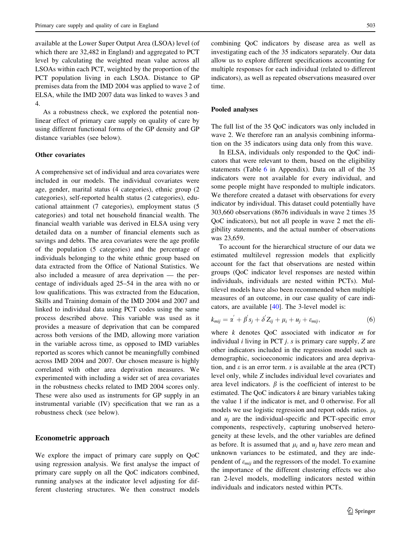<span id="page-4-0"></span>available at the Lower Super Output Area (LSOA) level (of which there are 32,482 in England) and aggregated to PCT level by calculating the weighted mean value across all LSOAs within each PCT, weighted by the proportion of the PCT population living in each LSOA. Distance to GP premises data from the IMD 2004 was applied to wave 2 of ELSA, while the IMD 2007 data was linked to waves 3 and 4.

As a robustness check, we explored the potential nonlinear effect of primary care supply on quality of care by using different functional forms of the GP density and GP distance variables (see below).

#### Other covariates

A comprehensive set of individual and area covariates were included in our models. The individual covariates were age, gender, marital status (4 categories), ethnic group (2 categories), self-reported health status (2 categories), educational attainment (7 categories), employment status (5 categories) and total net household financial wealth. The financial wealth variable was derived in ELSA using very detailed data on a number of financial elements such as savings and debts. The area covariates were the age profile of the population (5 categories) and the percentage of individuals belonging to the white ethnic group based on data extracted from the Office of National Statistics. We also included a measure of area deprivation — the percentage of individuals aged 25–54 in the area with no or low qualifications. This was extracted from the Education, Skills and Training domain of the IMD 2004 and 2007 and linked to individual data using PCT codes using the same process described above. This variable was used as it provides a measure of deprivation that can be compared across both versions of the IMD, allowing more variation in the variable across time, as opposed to IMD variables reported as scores which cannot be meaningfully combined across IMD 2004 and 2007. Our chosen measure is highly correlated with other area deprivation measures. We experimented with including a wider set of area covariates in the robustness checks related to IMD 2004 scores only. These were also used as instruments for GP supply in an instrumental variable (IV) specification that we ran as a robustness check (see below).

#### Econometric approach

We explore the impact of primary care supply on QoC using regression analysis. We first analyse the impact of primary care supply on all the QoC indicators combined, running analyses at the indicator level adjusting for different clustering structures. We then construct models combining QoC indicators by disease area as well as investigating each of the 35 indicators separately. Our data allow us to explore different specifications accounting for multiple responses for each individual (related to different indicators), as well as repeated observations measured over time.

# Pooled analyses

The full list of the 35 QoC indicators was only included in wave 2. We therefore ran an analysis combining information on the 35 indicators using data only from this wave.

In ELSA, individuals only responded to the QoC indicators that were relevant to them, based on the eligibility statements (Table [6](#page-13-0) in Appendix). Data on all of the 35 indicators were not available for every individual, and some people might have responded to multiple indicators. We therefore created a dataset with observations for every indicator by individual. This dataset could potentially have 303,660 observations (8676 individuals in wave 2 times 35 QoC indicators), but not all people in wave 2 met the eligibility statements, and the actual number of observations was 23,659.

To account for the hierarchical structure of our data we estimated multilevel regression models that explicitly account for the fact that observations are nested within groups (QoC indicator level responses are nested within individuals, individuals are nested within PCTs). Multilevel models have also been recommended when multiple measures of an outcome, in our case quality of care indicators, are available [\[40](#page-20-0)]. The 3-level model is:

$$
k_{mij} = \alpha^{'} + \beta^{'} s_j + \delta^{'} Z_{ij} + \mu_i + u_j + \varepsilon_{mij}, \qquad (6)
$$

where  $k$  denotes QoC associated with indicator  $m$  for individual  $i$  living in PCT  $j$ .  $s$  is primary care supply,  $Z$  are other indicators included in the regression model such as demographic, socioeconomic indicators and area deprivation, and  $\varepsilon$  is an error term. s is available at the area (PCT) level only, while Z includes individual level covariates and area level indicators.  $\beta$  is the coefficient of interest to be estimated. The QoC indicators  $k$  are binary variables taking the value 1 if the indicator is met, and 0 otherwise. For all models we use logistic regression and report odds ratios.  $\mu_i$ and  $u_i$  are the individual-specific and PCT-specific error components, respectively, capturing unobserved heterogeneity at these levels, and the other variables are defined as before. It is assumed that  $\mu_i$  and  $\mu_j$  have zero mean and unknown variances to be estimated, and they are independent of  $\varepsilon_{mij}$  and the regressors of the model. To examine the importance of the different clustering effects we also ran 2-level models, modelling indicators nested within individuals and indicators nested within PCTs.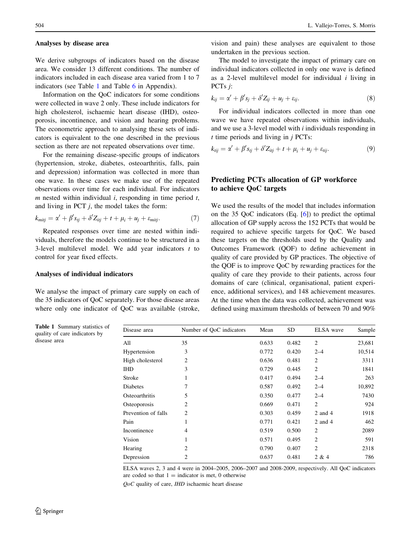#### Analyses by disease area

We derive subgroups of indicators based on the disease area. We consider 13 different conditions. The number of indicators included in each disease area varied from 1 to 7 indicators (see Table 1 and Table [6](#page-13-0) in Appendix).

Information on the QoC indicators for some conditions were collected in wave 2 only. These include indicators for high cholesterol, ischaemic heart disease (IHD), osteoporosis, incontinence, and vision and hearing problems. The econometric approach to analysing these sets of indicators is equivalent to the one described in the previous section as there are not repeated observations over time.

For the remaining disease-specific groups of indicators (hypertension, stroke, diabetes, osteoarthritis, falls, pain and depression) information was collected in more than one wave. In these cases we make use of the repeated observations over time for each individual. For indicators m nested within individual i, responding in time period  $t$ , and living in PCT  $j$ , the model takes the form:

$$
k_{mij} = \alpha' + \beta' s_{ij} + \delta' Z_{ij} + t + \mu_i + \mu_j + \varepsilon_{mij}.
$$
 (7)

Repeated responses over time are nested within individuals, therefore the models continue to be structured in a 3-level multilevel model. We add year indicators  $t$  to control for year fixed effects.

#### Analyses of individual indicators

We analyse the impact of primary care supply on each of the 35 indicators of QoC separately. For those disease areas where only one indicator of QoC was available (stroke,

<span id="page-5-0"></span>504 L. Vallejo-Torres, S. Morris

vision and pain) these analyses are equivalent to those undertaken in the previous section.

The model to investigate the impact of primary care on individual indicators collected in only one wave is defined as a 2-level multilevel model for individual  $i$  living in PCTs j:

$$
k_{ij} = \alpha' + \beta' s_j + \delta' Z_{ij} + u_j + \varepsilon_{ij}.
$$
\n(8)

For individual indicators collected in more than one wave we have repeated observations within individuals, and we use a 3-level model with i individuals responding in  $t$  time periods and living in  $j$  PCTs:

$$
k_{tij} = \alpha' + \beta' s_{tj} + \delta' Z_{tij} + t + \mu_i + \mu_j + \varepsilon_{tij}.
$$
\n(9)

# Predicting PCTs allocation of GP workforce to achieve QoC targets

We used the results of the model that includes information on the 35 QoC indicators (Eq. [\[6](#page-4-0)]) to predict the optimal allocation of GP supply across the 152 PCTs that would be required to achieve specific targets for QoC. We based these targets on the thresholds used by the Quality and Outcomes Framework (QOF) to define achievement in quality of care provided by GP practices. The objective of the QOF is to improve QoC by rewarding practices for the quality of care they provide to their patients, across four domains of care (clinical, organisational, patient experience, additional services), and 148 achievement measures. At the time when the data was collected, achievement was defined using maximum thresholds of between 70 and 90%

Table 1 Summary statistics of quality of care indicators by disease area

| Disease area        | Number of QoC indicators | Mean  | SD    | ELSA wave      | Sample |
|---------------------|--------------------------|-------|-------|----------------|--------|
| All                 | 35                       | 0.633 | 0.482 | 2              | 23,681 |
| Hypertension        | 3                        | 0.772 | 0.420 | $2 - 4$        | 10,514 |
| High cholesterol    | 2                        | 0.636 | 0.481 | 2              | 3311   |
| IHD                 | 3                        | 0.729 | 0.445 | 2              | 1841   |
| Stroke              | 1                        | 0.417 | 0.494 | $2 - 4$        | 263    |
| <b>Diabetes</b>     | 7                        | 0.587 | 0.492 | $2 - 4$        | 10,892 |
| Osteoarthritis      | 5                        | 0.350 | 0.477 | $2 - 4$        | 7430   |
| Osteoporosis        | 2                        | 0.669 | 0.471 | 2              | 924    |
| Prevention of falls | $\mathfrak{2}$           | 0.303 | 0.459 | 2 and $4$      | 1918   |
| Pain                | 1                        | 0.771 | 0.421 | 2 and 4        | 462    |
| Incontinence        | 4                        | 0.519 | 0.500 | 2              | 2089   |
| Vision              | 1                        | 0.571 | 0.495 | $\overline{2}$ | 591    |
| Hearing             | 2                        | 0.790 | 0.407 | 2              | 2318   |
| Depression          | 2                        | 0.637 | 0.481 | 2 & 4          | 786    |

ELSA waves 2, 3 and 4 were in 2004–2005, 2006–2007 and 2008-2009, respectively. All QoC indicators are coded so that  $1 =$  indicator is met, 0 otherwise

QoC quality of care, IHD ischaemic heart disease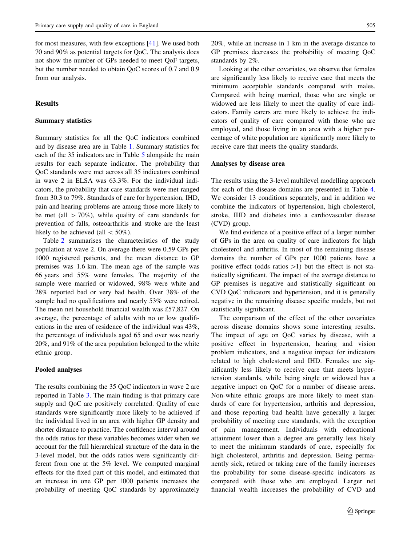for most measures, with few exceptions [[41\]](#page-20-0). We used both 70 and 90% as potential targets for QoC. The analysis does not show the number of GPs needed to meet QoF targets, but the number needed to obtain QoC scores of 0.7 and 0.9 from our analysis.

## Results

#### Summary statistics

Summary statistics for all the QoC indicators combined and by disease area are in Table [1.](#page-5-0) Summary statistics for each of the 35 indicators are in Table [5](#page-11-0) alongside the main results for each separate indicator. The probability that QoC standards were met across all 35 indicators combined in wave 2 in ELSA was 63.3%. For the individual indicators, the probability that care standards were met ranged from 30.3 to 79%. Standards of care for hypertension, IHD, pain and hearing problems are among those more likely to be met (all  $> 70\%$ ), while quality of care standards for prevention of falls, osteoarthritis and stroke are the least likely to be achieved (all  $\lt$  50%).

Table [2](#page-7-0) summarises the characteristics of the study population at wave 2. On average there were 0.59 GPs per 1000 registered patients, and the mean distance to GP premises was 1.6 km. The mean age of the sample was 66 years and 55% were females. The majority of the sample were married or widowed, 98% were white and 28% reported bad or very bad health. Over 38% of the sample had no qualifications and nearly 53% were retired. The mean net household financial wealth was £57,827. On average, the percentage of adults with no or low qualifications in the area of residence of the individual was 43%, the percentage of individuals aged 65 and over was nearly 20%, and 91% of the area population belonged to the white ethnic group.

#### Pooled analyses

The results combining the 35 QoC indicators in wave 2 are reported in Table [3.](#page-8-0) The main finding is that primary care supply and QoC are positively correlated. Quality of care standards were significantly more likely to be achieved if the individual lived in an area with higher GP density and shorter distance to practice. The confidence interval around the odds ratios for these variables becomes wider when we account for the full hierarchical structure of the data in the 3-level model, but the odds ratios were significantly different from one at the 5% level. We computed marginal effects for the fixed part of this model, and estimated that an increase in one GP per 1000 patients increases the probability of meeting QoC standards by approximately 20%, while an increase in 1 km in the average distance to GP premises decreases the probability of meeting QoC standards by 2%.

Looking at the other covariates, we observe that females are significantly less likely to receive care that meets the minimum acceptable standards compared with males. Compared with being married, those who are single or widowed are less likely to meet the quality of care indicators. Family carers are more likely to achieve the indicators of quality of care compared with those who are employed, and those living in an area with a higher percentage of white population are significantly more likely to receive care that meets the quality standards.

#### Analyses by disease area

The results using the 3-level multilevel modelling approach for each of the disease domains are presented in Table [4.](#page-9-0) We consider 13 conditions separately, and in addition we combine the indicators of hypertension, high cholesterol, stroke, IHD and diabetes into a cardiovascular disease (CVD) group.

We find evidence of a positive effect of a larger number of GPs in the area on quality of care indicators for high cholesterol and arthritis. In most of the remaining disease domains the number of GPs per 1000 patients have a positive effect (odds ratios  $>1$ ) but the effect is not statistically significant. The impact of the average distance to GP premises is negative and statistically significant on CVD QoC indicators and hypertension, and it is generally negative in the remaining disease specific models, but not statistically significant.

The comparison of the effect of the other covariates across disease domains shows some interesting results. The impact of age on QoC varies by disease, with a positive effect in hypertension, hearing and vision problem indicators, and a negative impact for indicators related to high cholesterol and IHD. Females are significantly less likely to receive care that meets hypertension standards, while being single or widowed has a negative impact on QoC for a number of disease areas. Non-white ethnic groups are more likely to meet standards of care for hypertension, arthritis and depression, and those reporting bad health have generally a larger probability of meeting care standards, with the exception of pain management. Individuals with educational attainment lower than a degree are generally less likely to meet the minimum standards of care, especially for high cholesterol, arthritis and depression. Being permanently sick, retired or taking care of the family increases the probability for some disease-specific indicators as compared with those who are employed. Larger net financial wealth increases the probability of CVD and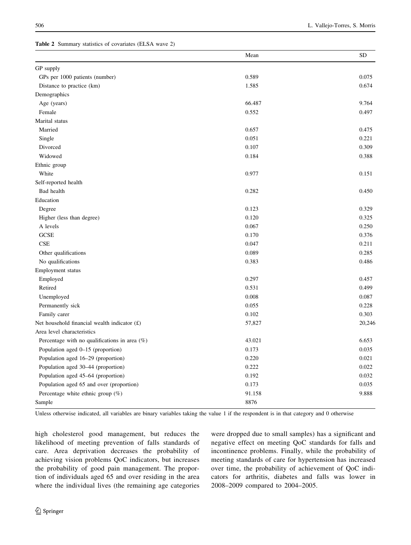<span id="page-7-0"></span>

|                                                  | Mean   | <b>SD</b> |
|--------------------------------------------------|--------|-----------|
| GP supply                                        |        |           |
| GPs per 1000 patients (number)                   | 0.589  | 0.075     |
| Distance to practice (km)                        | 1.585  | 0.674     |
| Demographics                                     |        |           |
| Age (years)                                      | 66.487 | 9.764     |
| Female                                           | 0.552  | 0.497     |
| Marital status                                   |        |           |
| Married                                          | 0.657  | 0.475     |
| Single                                           | 0.051  | 0.221     |
| Divorced                                         | 0.107  | 0.309     |
| Widowed                                          | 0.184  | 0.388     |
| Ethnic group                                     |        |           |
| White                                            | 0.977  | 0.151     |
| Self-reported health                             |        |           |
| Bad health                                       | 0.282  | 0.450     |
| Education                                        |        |           |
| Degree                                           | 0.123  | 0.329     |
| Higher (less than degree)                        | 0.120  | 0.325     |
| A levels                                         | 0.067  | 0.250     |
| <b>GCSE</b>                                      | 0.170  | 0.376     |
| CSE                                              | 0.047  | 0.211     |
| Other qualifications                             | 0.089  | 0.285     |
| No qualifications                                | 0.383  | 0.486     |
| Employment status                                |        |           |
| Employed                                         | 0.297  | 0.457     |
| Retired                                          | 0.531  | 0.499     |
| Unemployed                                       | 0.008  | 0.087     |
| Permanently sick                                 | 0.055  | 0.228     |
| Family carer                                     | 0.102  | 0.303     |
| Net household financial wealth indicator $(f)$   | 57,827 | 20,246    |
| Area level characteristics                       |        |           |
| Percentage with no qualifications in area $(\%)$ | 43.021 | 6.653     |
| Population aged 0-15 (proportion)                | 0.173  | 0.035     |
| Population aged 16-29 (proportion)               | 0.220  | 0.021     |
| Population aged 30–44 (proportion)               | 0.222  | 0.022     |
| Population aged 45–64 (proportion)               | 0.192  | 0.032     |
| Population aged 65 and over (proportion)         | 0.173  | 0.035     |
| Percentage white ethnic group $(\%)$             | 91.158 | 9.888     |
| Sample                                           | 8876   |           |

Unless otherwise indicated, all variables are binary variables taking the value 1 if the respondent is in that category and 0 otherwise

high cholesterol good management, but reduces the likelihood of meeting prevention of falls standards of care. Area deprivation decreases the probability of achieving vision problems QoC indicators, but increases the probability of good pain management. The proportion of individuals aged 65 and over residing in the area where the individual lives (the remaining age categories were dropped due to small samples) has a significant and negative effect on meeting QoC standards for falls and incontinence problems. Finally, while the probability of meeting standards of care for hypertension has increased over time, the probability of achievement of QoC indicators for arthritis, diabetes and falls was lower in 2008–2009 compared to 2004–2005.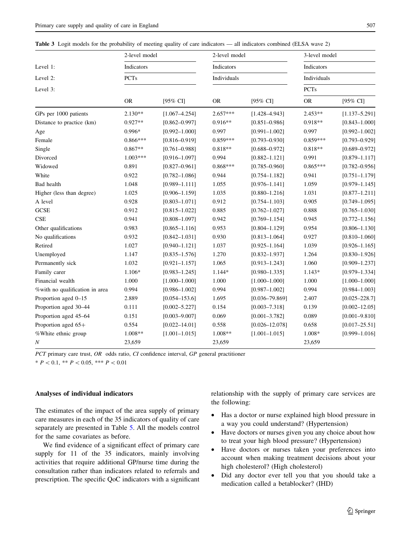<span id="page-8-0"></span>Primary care supply and quality of care in England 507

Table 3 Logit models for the probability of meeting quality of care indicators — all indicators combined (ELSA wave 2)

|                                | 2-level model |                   | 2-level model |                     | 3-level model             |                   |  |
|--------------------------------|---------------|-------------------|---------------|---------------------|---------------------------|-------------------|--|
| Level 1:                       | Indicators    |                   | Indicators    |                     | Indicators<br>Individuals |                   |  |
| Level 2:                       | <b>PCTs</b>   |                   | Individuals   |                     |                           |                   |  |
| Level 3:                       |               |                   |               |                     | <b>PCTs</b>               |                   |  |
|                                | <b>OR</b>     | [95% CI]          | <b>OR</b>     | $[95\% \text{ CI}]$ | <b>OR</b>                 | [95% CI]          |  |
| GPs per 1000 patients          | $2.130**$     | $[1.067 - 4.254]$ | $2.657***$    | $[1.428 - 4.943]$   | $2.453**$                 | $[1.137 - 5.291]$ |  |
| Distance to practice (km)      | $0.927**$     | $[0.862 - 0.997]$ | $0.916**$     | $[0.851 - 0.986]$   | $0.918**$                 | $[0.843 - 1.000]$ |  |
| Age                            | $0.996*$      | $[0.992 - 1.000]$ | 0.997         | $[0.991 - 1.002]$   | 0.997                     | $[0.992 - 1.002]$ |  |
| Female                         | $0.866***$    | $[0.816 - 0.919]$ | $0.859***$    | $[0.793 - 0.930]$   | $0.859***$                | $[0.793 - 0.929]$ |  |
| Single                         | $0.867**$     | $[0.761 - 0.988]$ | $0.818**$     | $[0.688 - 0.972]$   | $0.818**$                 | $[0.689 - 0.972]$ |  |
| Divorced                       | $1.003***$    | $[0.916 - 1.097]$ | 0.994         | $[0.882 - 1.121]$   | 0.991                     | $[0.879 - 1.117]$ |  |
| Widowed                        | 0.891         | $[0.827 - 0.961]$ | $0.868***$    | $[0.785 - 0.960]$   | $0.865***$                | $[0.782 - 0.956]$ |  |
| White                          | 0.922         | $[0.782 - 1.086]$ | 0.944         | $[0.754 - 1.182]$   | 0.941                     | $[0.751 - 1.179]$ |  |
| Bad health                     | 1.048         | $[0.989 - 1.111]$ | 1.055         | $[0.976 - 1.141]$   | 1.059                     | $[0.979 - 1.145]$ |  |
| Higher (less than degree)      | 1.025         | $[0.906 - 1.159]$ | 1.035         | $[0.880 - 1.216]$   | 1.031                     | $[0.877 - 1.211]$ |  |
| A level                        | 0.928         | $[0.803 - 1.071]$ | 0.912         | $[0.754 - 1.103]$   | 0.905                     | $[0.749 - 1.095]$ |  |
| ${\tt GCSE}$                   | 0.912         | $[0.815 - 1.022]$ | 0.885         | $[0.762 - 1.027]$   | 0.888                     | $[0.765 - 1.030]$ |  |
| <b>CSE</b>                     | 0.941         | $[0.808 - 1.097]$ | 0.942         | $[0.769 - 1.154]$   | 0.945                     | $[0.772 - 1.156]$ |  |
| Other qualifications           | 0.983         | $[0.865 - 1.116]$ | 0.953         | $[0.804 - 1.129]$   | 0.954                     | $[0.806 - 1.130]$ |  |
| No qualifications              | 0.932         | $[0.842 - 1.031]$ | 0.930         | $[0.813 - 1.064]$   | 0.927                     | $[0.810 - 1.060]$ |  |
| Retired                        | 1.027         | $[0.940 - 1.121]$ | 1.037         | $[0.925 - 1.164]$   | 1.039                     | $[0.926 - 1.165]$ |  |
| Unemployed                     | 1.147         | $[0.835 - 1.576]$ | 1.270         | $[0.832 - 1.937]$   | 1.264                     | $[0.830 - 1.926]$ |  |
| Permanently sick               | 1.032         | $[0.921 - 1.157]$ | 1.065         | $[0.913 - 1.243]$   | 1.060                     | $[0.909 - 1.237]$ |  |
| Family carer                   | 1.106*        | $[0.983 - 1.245]$ | 1.144*        | $[0.980 - 1.335]$   | $1.143*$                  | $[0.979 - 1.334]$ |  |
| Financial wealth               | 1.000         | $[1.000 - 1.000]$ | 1.000         | $[1.000 - 1.000]$   | 1.000                     | $[1.000 - 1.000]$ |  |
| %with no qualification in area | 0.994         | $[0.986 - 1.002]$ | 0.994         | $[0.987 - 1.002]$   | 0.994                     | $[0.984 - 1.003]$ |  |
| Proportion aged 0-15           | 2.889         | $[0.054 - 153.6]$ | 1.695         | $[0.036 - 79.869]$  | 2.407                     | $[0.025 - 228.7]$ |  |
| Proportion aged 30-44          | 0.111         | $[0.002 - 5.227]$ | 0.154         | $[0.003 - 7.318]$   | 0.139                     | $[0.002 - 12.05]$ |  |
| Proportion aged 45-64          | 0.151         | $[0.003 - 9.007]$ | 0.069         | $[0.001 - 3.782]$   | 0.089                     | $[0.001 - 9.810]$ |  |
| Proportion aged 65+            | 0.554         | $[0.022 - 14.01]$ | 0.558         | $[0.026 - 12.078]$  | 0.658                     | $[0.017 - 25.51]$ |  |
| %White ethnic group            | $1.008**$     | $[1.001 - 1.015]$ | 1.008**       | $[1.001 - 1.015]$   | $1.008*$                  | $[0.999 - 1.016]$ |  |
| N                              | 23,659        |                   | 23,659        |                     | 23,659                    |                   |  |

PCT primary care trust, OR odds ratio, CI confidence interval, GP general practitioner

 $* P < 0.1, ** P < 0.05, ** P < 0.01$ 

# Analyses of individual indicators

The estimates of the impact of the area supply of primary care measures in each of the 35 indicators of quality of care separately are presented in Table [5.](#page-11-0) All the models control for the same covariates as before.

We find evidence of a significant effect of primary care supply for 11 of the 35 indicators, mainly involving activities that require additional GP/nurse time during the consultation rather than indicators related to referrals and prescription. The specific QoC indicators with a significant relationship with the supply of primary care services are the following:

- Has a doctor or nurse explained high blood pressure in a way you could understand? (Hypertension)
- Have doctors or nurses given you any choice about how to treat your high blood pressure? (Hypertension)
- Have doctors or nurses taken your preferences into account when making treatment decisions about your high cholesterol? (High cholesterol)
- Did any doctor ever tell you that you should take a medication called a betablocker? (IHD)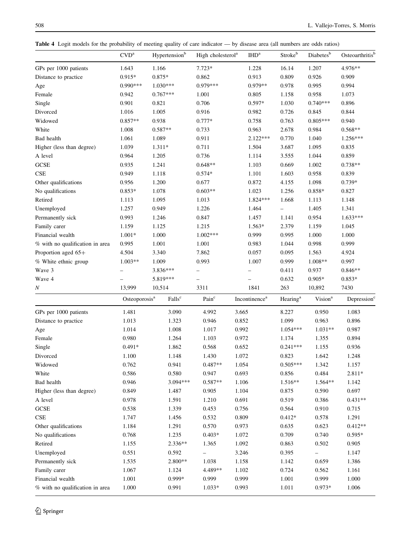<span id="page-9-0"></span>

|  |  |  |  | <b>Table 4</b> Logit models for the probability of meeting quality of care indicator — by disease area (all numbers are odds ratios) |  |
|--|--|--|--|--------------------------------------------------------------------------------------------------------------------------------------|--|
|--|--|--|--|--------------------------------------------------------------------------------------------------------------------------------------|--|

|                                 | $\mathrm{CVD}^\mathrm{a}$ | Hypertensionb      | High cholesterol <sup>a</sup> | $\mathbb{I}\textnormal{HD}^{\textnormal{a}}$ | Strokeb              | $Diabetes^b$        | Osteoarthritisb         |
|---------------------------------|---------------------------|--------------------|-------------------------------|----------------------------------------------|----------------------|---------------------|-------------------------|
| GPs per 1000 patients           | 1.643                     | 1.166              | $7.723*$                      | 1.228                                        | 16.14                | 1.207               | 4.976**                 |
| Distance to practice            | $0.915*$                  | $0.875*$           | 0.862                         | 0.913                                        | 0.809                | 0.926               | 0.909                   |
| Age                             | $0.990***$                | $1.030***$         | $0.979***$                    | 0.979**                                      | 0.978                | 0.995               | 0.994                   |
| Female                          | 0.942                     | $0.767***$         | 1.001                         | 0.805                                        | 1.158                | 0.958               | 1.073                   |
| Single                          | 0.901                     | 0.821              | 0.706                         | $0.597*$                                     | 1.030                | $0.740***$          | 0.896                   |
| Divorced                        | 1.016                     | 1.005              | 0.916                         | 0.982                                        | 0.726                | 0.845               | 0.844                   |
| Widowed                         | $0.857**$                 | 0.938              | $0.777*$                      | 0.758                                        | 0.763                | $0.805***$          | 0.940                   |
| White                           | 1.008                     | $0.587**$          | 0.733                         | 0.963                                        | 2.678                | 0.984               | $0.568**$               |
| Bad health                      | 1.061                     | 1.089              | 0.911                         | $2.122***$                                   | 0.770                | 1.040               | $1.256***$              |
| Higher (less than degree)       | 1.039                     | 1.311*             | 0.711                         | 1.504                                        | 3.687                | 1.095               | 0.835                   |
| A level                         | 0.964                     | 1.205              | 0.736                         | 1.114                                        | 3.555                | 1.044               | 0.859                   |
| ${\tt GCSE}$                    | 0.935                     | 1.241              | $0.648**$                     | 1.103                                        | 0.669                | 1.002               | 0.738**                 |
| <b>CSE</b>                      | 0.949                     | 1.118              | $0.574*$                      | 1.101                                        | 1.603                | 0.958               | 0.839                   |
| Other qualifications            | 0.956                     | 1.200              | 0.677                         | 0.872                                        | 4.155                | 1.098               | $0.739*$                |
| No qualifications               | $0.853*$                  | 1.078              | $0.603**$                     | 1.023                                        | 1.256                | 0.858*              | 0.827                   |
| Retired                         | 1.113                     | 1.095              | 1.013                         | 1.824 ***                                    | 1.668                | 1.113               | 1.148                   |
| Unemployed                      | 1.257                     | 0.949              | 1.226                         | 1.464                                        |                      | 1.405               | 1.341                   |
| Permanently sick                | 0.993                     | 1.246              | 0.847                         | 1.457                                        | 1.141                | 0.954               | $1.633***$              |
| Family carer                    | 1.159                     | 1.125              | 1.215                         | 1.563*                                       | 2.379                | 1.159               | 1.045                   |
| Financial wealth                | $1.001*$                  | 1.000              | $1.002***$                    | 0.999                                        | 0.995                | 1.000               | 1.000                   |
| % with no qualification in area | 0.995                     | 1.001              | 1.001                         | 0.983                                        | 1.044                | 0.998               | 0.999                   |
| Proportion aged 65+             | 4.504                     | 3.340              | 7.862                         | 0.057                                        | 0.095                | 1.563               | 4.924                   |
| % White ethnic group            | $1.003**$                 | 1.009              | 0.993                         | 1.007                                        | 0.999                | $1.008**$           | 0.997                   |
| Wave 3                          |                           | 3.836***           | $\overline{\phantom{0}}$      |                                              | 0.411                | 0.937               | $0.846**$               |
| Wave 4                          |                           | 5.819***           | $\overline{\phantom{0}}$      |                                              | 0.632                | $0.905*$            | $0.853*$                |
| $\boldsymbol{N}$                | 13,999                    | 10,514             | 3311                          | 1841                                         | 263                  | 10,892              | 7430                    |
|                                 | Osteoporosis <sup>a</sup> | Falls <sup>c</sup> | $\mathrm{Pain}^\mathrm{c}$    | Incontinence <sup>a</sup>                    | Hearing <sup>a</sup> | Vision <sup>a</sup> | Depression <sup>c</sup> |
| GPs per 1000 patients           | 1.481                     | 3.090              | 4.992                         | 3.665                                        | 8.227                | 0.950               | 1.083                   |
| Distance to practice            | 1.013                     | 1.323              | 0.946                         | 0.852                                        | 1.099                | 0.963               | 0.896                   |
|                                 | 1.014                     | 1.008              | 1.017                         | 0.992                                        | $1.054***$           | $1.031**$           | 0.987                   |
| Age<br>Female                   | 0.980                     | 1.264              | 1.103                         | 0.972                                        | 1.174                |                     | 0.894                   |
|                                 | $0.491*$                  |                    |                               |                                              | $0.241***$           | 1.355               | 0.936                   |
| Single                          |                           | 1.862              | 0.568                         | 0.652                                        |                      | 1.155               |                         |
| Divorced                        | 1.100                     | 1.148              | 1.430                         | 1.072                                        | 0.823                | 1.642               | 1.248                   |
| Widowed                         | 0.762                     | 0.941              | 0.487**                       | 1.054                                        | $0.505***$           | 1.342               | 1.157                   |
| White                           | 0.586                     | 0.580              | 0.947                         | 0.693                                        | 0.856                | 0.484               | $2.811*$                |
| Bad health                      | 0.946                     | 3.094***           | $0.587**$                     | 1.106                                        | 1.516**              | $1.564**$           | 1.142                   |
| Higher (less than degree)       | 0.849                     | 1.487              | 0.905                         | 1.104                                        | 0.875                | 0.590               | 0.697                   |
| A level                         | 0.978                     | 1.591              | 1.210                         | 0.691                                        | 0.519                | 0.386               | $0.431**$               |
| ${\tt GCSE}$                    | 0.538                     | 1.339              | 0.453                         | 0.756                                        | 0.564                | 0.910               | 0.715                   |
| CSE                             | 1.747                     | 1.456              | 0.532                         | 0.809                                        | $0.412*$             | 0.578               | 1.291                   |
| Other qualifications            | 1.184                     | 1.291              | 0.570                         | 0.973                                        | 0.635                | 0.623               | $0.412**$               |
| No qualifications               | 0.768                     | 1.235              | $0.403*$                      | 1.072                                        | 0.709                | 0.740               | $0.595*$                |
| Retired                         | 1.155                     | 2.336**            | 1.365                         | 1.092                                        | 0.863                | 0.502               | 0.905                   |
| Unemployed                      | 0.551                     | 0.592              |                               | 3.246                                        | 0.395                |                     | 1.147                   |
| Permanently sick                | 1.535                     | 2.800**            | 1.038                         | 1.158                                        | 1.142                | 0.659               | 1.386                   |
| Family carer                    | 1.067                     | 1.124              | 4.489**                       | 1.102                                        | 0.724                | 0.562               | 1.161                   |
| Financial wealth                | $1.001\,$                 | 0.999*             | 0.999                         | 0.999                                        | 1.001                | 0.999               | 1.000                   |
| % with no qualification in area | 1.000                     | 0.991              | $1.033*$                      | 0.993                                        | $1.011\,$            | $0.973*$            | 1.006                   |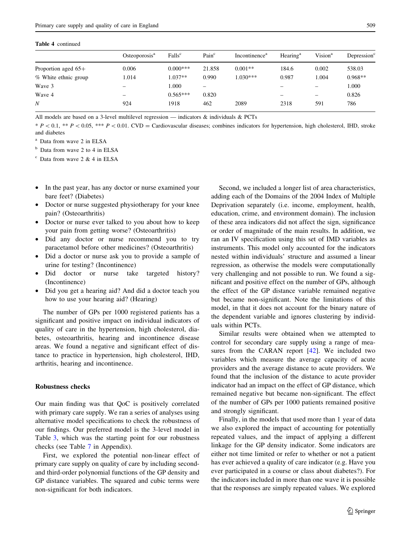#### Table 4 continued

|                       | Osteoporosis <sup>a</sup> | Falls <sup>c</sup> | Pain <sup>c</sup> | Incontinence <sup>a</sup> | Hearing <sup>a</sup> | Vision <sup>a</sup> | Depression <sup>c</sup> |
|-----------------------|---------------------------|--------------------|-------------------|---------------------------|----------------------|---------------------|-------------------------|
| Proportion aged $65+$ | 0.006                     | $0.000***$         | 21.858            | $0.001**$                 | 184.6                | 0.002               | 538.03                  |
| % White ethnic group  | 1.014                     | $1.037**$          | 0.990             | $1.030***$                | 0.987                | 1.004               | $0.968**$               |
| Wave 3                |                           | 1.000              | -                 |                           |                      | -                   | 1.000                   |
| Wave 4                |                           | $0.565***$         | 0.820             |                           | -                    |                     | 0.826                   |
| $\boldsymbol{N}$      | 924                       | 1918               | 462               | 2089                      | 2318                 | 591                 | 786                     |

All models are based on a 3-level multilevel regression — indicators & individuals & PCTs

 $* P < 0.1$ ,  $* P < 0.05$ ,  $* * P < 0.01$ . CVD = Cardiovascular diseases; combines indicators for hypertension, high cholesterol, IHD, stroke and diabetes

<sup>a</sup> Data from wave 2 in ELSA

<sup>b</sup> Data from wave 2 to 4 in ELSA

 $\degree$  Data from wave 2 & 4 in ELSA

- In the past year, has any doctor or nurse examined your bare feet? (Diabetes)
- Doctor or nurse suggested physiotherapy for your knee pain? (Osteoarthritis)
- Doctor or nurse ever talked to you about how to keep your pain from getting worse? (Osteoarthritis)
- Did any doctor or nurse recommend you to try paracetamol before other medicines? (Osteoarthritis)
- Did a doctor or nurse ask you to provide a sample of urine for testing? (Incontinence)
- Did doctor or nurse take targeted history? (Incontinence)
- Did you get a hearing aid? And did a doctor teach you how to use your hearing aid? (Hearing)

The number of GPs per 1000 registered patients has a significant and positive impact on individual indicators of quality of care in the hypertension, high cholesterol, diabetes, osteoarthritis, hearing and incontinence disease areas. We found a negative and significant effect of distance to practice in hypertension, high cholesterol, IHD, arthritis, hearing and incontinence.

#### Robustness checks

Our main finding was that QoC is positively correlated with primary care supply. We ran a series of analyses using alternative model specifications to check the robustness of our findings. Our preferred model is the 3-level model in Table [3](#page-8-0), which was the starting point for our robustness checks (see Table [7](#page-15-0) in Appendix).

First, we explored the potential non-linear effect of primary care supply on quality of care by including secondand third-order polynomial functions of the GP density and GP distance variables. The squared and cubic terms were non-significant for both indicators.

Second, we included a longer list of area characteristics, adding each of the Domains of the 2004 Index of Multiple Deprivation separately (i.e. income, employment, health, education, crime, and environment domain). The inclusion of these area indicators did not affect the sign, significance or order of magnitude of the main results. In addition, we ran an IV specification using this set of IMD variables as instruments. This model only accounted for the indicators nested within individuals' structure and assumed a linear regression, as otherwise the models were computationally very challenging and not possible to run. We found a significant and positive effect on the number of GPs, although the effect of the GP distance variable remained negative but became non-significant. Note the limitations of this model, in that it does not account for the binary nature of the dependent variable and ignores clustering by individuals within PCTs.

Similar results were obtained when we attempted to control for secondary care supply using a range of measures from the CARAN report [\[42](#page-20-0)]. We included two variables which measure the average capacity of acute providers and the average distance to acute providers. We found that the inclusion of the distance to acute provider indicator had an impact on the effect of GP distance, which remained negative but became non-significant. The effect of the number of GPs per 1000 patients remained positive and strongly significant.

Finally, in the models that used more than 1 year of data we also explored the impact of accounting for potentially repeated values, and the impact of applying a different linkage for the GP density indicator. Some indicators are either not time limited or refer to whether or not a patient has ever achieved a quality of care indicator (e.g. Have you ever participated in a course or class about diabetes?). For the indicators included in more than one wave it is possible that the responses are simply repeated values. We explored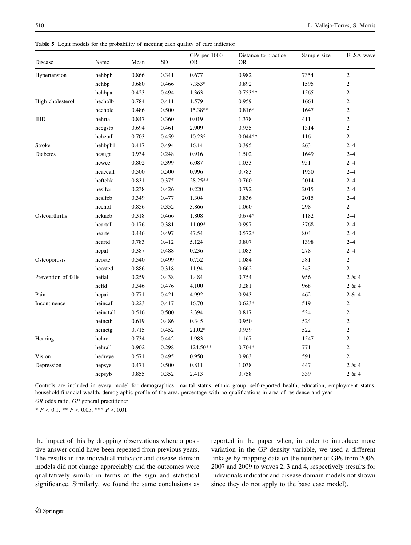<span id="page-11-0"></span>Table 5 Logit models for the probability of meeting each quality of care indicator

| Disease             | Name      | Mean  | <b>SD</b> | GPs per 1000<br><b>OR</b> | Distance to practice<br><b>OR</b> | Sample size | ELSA wave        |
|---------------------|-----------|-------|-----------|---------------------------|-----------------------------------|-------------|------------------|
| Hypertension        | hehbpb    | 0.866 | 0.341     | 0.677                     | 0.982                             | 7354        | $\overline{c}$   |
|                     | hehbp     | 0.680 | 0.466     | $7.353*$                  | 0.892                             | 1595        | $\overline{c}$   |
|                     | hehbpa    | 0.423 | 0.494     | 1.363                     | $0.753**$                         | 1565        | $\overline{c}$   |
| High cholesterol    | hecholb   | 0.784 | 0.411     | 1.579                     | 0.959                             | 1664        | $\boldsymbol{2}$ |
|                     | hecholc   | 0.486 | 0.500     | 15.38**                   | $0.816*$                          | 1647        | $\boldsymbol{2}$ |
| IHD                 | hehrta    | 0.847 | 0.360     | 0.019                     | 1.378                             | 411         | $\overline{c}$   |
|                     | hecgstp   | 0.694 | 0.461     | 2.909                     | 0.935                             | 1314        | $\overline{c}$   |
|                     | hebetall  | 0.703 | 0.459     | 10.235                    | $0.044**$                         | 116         | $\overline{c}$   |
| Stroke              | hehbpb1   | 0.417 | 0.494     | 16.14                     | 0.395                             | 263         | $2 - 4$          |
| Diabetes            | hesuga    | 0.934 | 0.248     | 0.916                     | 1.502                             | 1649        | $2 - 4$          |
|                     | hewee     | 0.802 | 0.399     | 6.087                     | 1.033                             | 951         | $2 - 4$          |
|                     | heaceall  | 0.500 | 0.500     | 0.996                     | 0.783                             | 1950        | $2 - 4$          |
|                     | heftchk   | 0.831 | 0.375     | $28.25**$                 | 0.760                             | 2014        | $2 - 4$          |
|                     | heslfcr   | 0.238 | 0.426     | 0.220                     | 0.792                             | 2015        | $2 - 4$          |
|                     | heslfcb   | 0.349 | 0.477     | 1.304                     | 0.836                             | 2015        | $2 - 4$          |
|                     | hechol    | 0.856 | 0.352     | 3.866                     | 1.060                             | 298         | $\overline{2}$   |
| Osteoarthritis      | hekneb    | 0.318 | 0.466     | 1.808                     | $0.674*$                          | 1182        | $2 - 4$          |
|                     | heartall  | 0.176 | 0.381     | 11.09*                    | 0.997                             | 3768        | $2 - 4$          |
|                     | hearte    | 0.446 | 0.497     | 47.54                     | $0.572*$                          | 804         | $2 - 4$          |
|                     | heartd    | 0.783 | 0.412     | 5.124                     | 0.807                             | 1398        | $2 - 4$          |
|                     | hepaf     | 0.387 | 0.488     | 0.236                     | 1.083                             | 278         | $2 - 4$          |
| Osteoporosis        | heoste    | 0.540 | 0.499     | 0.752                     | 1.084                             | 581         | $\overline{c}$   |
|                     | heosted   | 0.886 | 0.318     | 11.94                     | 0.662                             | 343         | $\overline{2}$   |
| Prevention of falls | heflall   | 0.259 | 0.438     | 1.484                     | 0.754                             | 956         | 2 & 4            |
|                     | hefld     | 0.346 | 0.476     | 4.100                     | 0.281                             | 968         | 2 & 4            |
| Pain                | hepai     | 0.771 | 0.421     | 4.992                     | 0.943                             | 462         | 2 & 4            |
| Incontinence        | heincall  | 0.223 | 0.417     | 16.70                     | $0.623*$                          | 519         | $\overline{c}$   |
|                     | heinctall | 0.516 | 0.500     | 2.394                     | 0.817                             | 524         | $\overline{c}$   |
|                     | heincth   | 0.619 | 0.486     | 0.345                     | 0.950                             | 524         | $\overline{c}$   |
|                     | heinctg   | 0.715 | 0.452     | $21.02*$                  | 0.939                             | 522         | $\overline{c}$   |
| Hearing             | hehrc     | 0.734 | 0.442     | 1.983                     | 1.167                             | 1547        | $\overline{c}$   |
|                     | hehrall   | 0.902 | 0.298     | 124.50**                  | $0.704*$                          | 771         | $\overline{c}$   |
| Vision              | hedreye   | 0.571 | 0.495     | 0.950                     | 0.963                             | 591         | $\overline{c}$   |
| Depression          | hepsye    | 0.471 | 0.500     | 0.811                     | 1.038                             | 447         | 2 & 4            |
|                     | hepsyb    | 0.855 | 0.352     | 2.413                     | 0.758                             | 339         | 2 & 4            |

Controls are included in every model for demographics, marital status, ethnic group, self-reported health, education, employment status, household financial wealth, demographic profile of the area, percentage with no qualifications in area of residence and year

OR odds ratio, GP general practitioner

 $* P < 0.1, ** P < 0.05, ** P < 0.01$ 

the impact of this by dropping observations where a positive answer could have been repeated from previous years. The results in the individual indicator and disease domain models did not change appreciably and the outcomes were qualitatively similar in terms of the sign and statistical significance. Similarly, we found the same conclusions as reported in the paper when, in order to introduce more variation in the GP density variable, we used a different linkage by mapping data on the number of GPs from 2006, 2007 and 2009 to waves 2, 3 and 4, respectively (results for individuals indicator and disease domain models not shown since they do not apply to the base case model).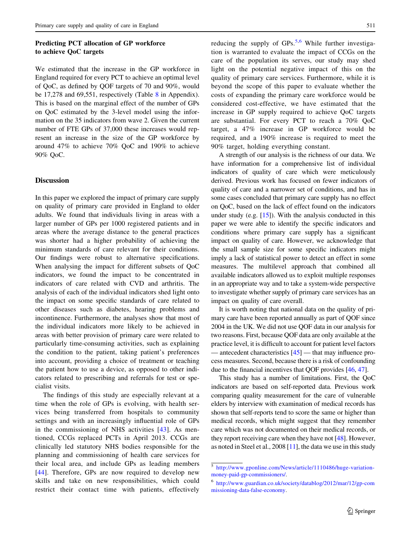# Predicting PCT allocation of GP workforce to achieve QoC targets

We estimated that the increase in the GP workforce in England required for every PCT to achieve an optimal level of QoC, as defined by QOF targets of 70 and 90%, would be 17,278 and 69,551, respectively (Table [8](#page-16-0) in Appendix). This is based on the marginal effect of the number of GPs on QoC estimated by the 3-level model using the information on the 35 indicators from wave 2. Given the current number of FTE GPs of 37,000 these increases would represent an increase in the size of the GP workforce by around 47% to achieve 70% QoC and 190% to achieve 90% QoC.

# **Discussion**

In this paper we explored the impact of primary care supply on quality of primary care provided in England to older adults. We found that individuals living in areas with a larger number of GPs per 1000 registered patients and in areas where the average distance to the general practices was shorter had a higher probability of achieving the minimum standards of care relevant for their conditions. Our findings were robust to alternative specifications. When analysing the impact for different subsets of QoC indicators, we found the impact to be concentrated in indicators of care related with CVD and arthritis. The analysis of each of the individual indicators shed light onto the impact on some specific standards of care related to other diseases such as diabetes, hearing problems and incontinence. Furthermore, the analyses show that most of the individual indicators more likely to be achieved in areas with better provision of primary care were related to particularly time-consuming activities, such as explaining the condition to the patient, taking patient's preferences into account, providing a choice of treatment or teaching the patient how to use a device, as opposed to other indicators related to prescribing and referrals for test or specialist visits.

The findings of this study are especially relevant at a time when the role of GPs is evolving, with health services being transferred from hospitals to community settings and with an increasingly influential role of GPs in the commissioning of NHS activities [\[43\]](#page-20-0). As mentioned, CCGs replaced PCTs in April 2013. CCGs are clinically led statutory NHS bodies responsible for the planning and commissioning of health care services for their local area, and include GPs as leading members [\[44\]](#page-20-0). Therefore, GPs are now required to develop new skills and take on new responsibilities, which could restrict their contact time with patients, effectively reducing the supply of  $GPs$ .<sup>5,6</sup> While further investigation is warranted to evaluate the impact of CCGs on the care of the population its serves, our study may shed light on the potential negative impact of this on the quality of primary care services. Furthermore, while it is beyond the scope of this paper to evaluate whether the costs of expanding the primary care workforce would be considered cost-effective, we have estimated that the increase in GP supply required to achieve QoC targets are substantial. For every PCT to reach a 70% QoC target, a 47% increase in GP workforce would be required, and a 190% increase is required to meet the 90% target, holding everything constant.

A strength of our analysis is the richness of our data. We have information for a comprehensive list of individual indicators of quality of care which were meticulously derived. Previous work has focused on fewer indicators of quality of care and a narrower set of conditions, and has in some cases concluded that primary care supply has no effect on QoC, based on the lack of effect found on the indicators under study (e.g.  $[15]$ ). With the analysis conducted in this paper we were able to identify the specific indicators and conditions where primary care supply has a significant impact on quality of care. However, we acknowledge that the small sample size for some specific indicators might imply a lack of statistical power to detect an effect in some measures. The multilevel approach that combined all available indicators allowed us to exploit multiple responses in an appropriate way and to take a system-wide perspective to investigate whether supply of primary care services has an impact on quality of care overall.

It is worth noting that national data on the quality of primary care have been reported annually as part of QOF since 2004 in the UK. We did not use QOF data in our analysis for two reasons. First, because QOF data are only available at the practice level, it is difficult to account for patient level factors — antecedent characteristics [[45\]](#page-20-0) — that may influence process measures. Second, because there is a risk of confounding due to the financial incentives that QOF provides [\[46](#page-20-0), [47\]](#page-20-0).

This study has a number of limitations. First, the QoC indicators are based on self-reported data. Previous work comparing quality measurement for the care of vulnerable elders by interview with examination of medical records has shown that self-reports tend to score the same or higher than medical records, which might suggest that they remember care which was not documented on their medical records, or they report receiving care when they have not [\[48](#page-20-0)]. However, as noted in Steel et al., 2008 [\[11\]](#page-19-0), the data we use in this study

<sup>5</sup> [http://www.gponline.com/News/article/1110486/huge-variation](http://www.gponline.com/News/article/1110486/huge-variation-money-paid-gp-commissioners/)[money-paid-gp-commissioners/](http://www.gponline.com/News/article/1110486/huge-variation-money-paid-gp-commissioners/).

<sup>6</sup> [http://www.guardian.co.uk/society/datablog/2012/mar/12/gp-com](http://www.guardian.co.uk/society/datablog/2012/mar/12/gp-commissioning-data-false-economy) [missioning-data-false-economy.](http://www.guardian.co.uk/society/datablog/2012/mar/12/gp-commissioning-data-false-economy)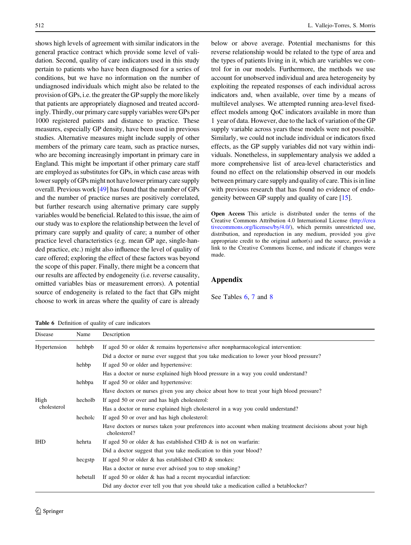<span id="page-13-0"></span>shows high levels of agreement with similar indicators in the general practice contract which provide some level of validation. Second, quality of care indicators used in this study pertain to patients who have been diagnosed for a series of conditions, but we have no information on the number of undiagnosed individuals which might also be related to the provision of GPs, i.e. the greater the GP supply the more likely that patients are appropriately diagnosed and treated accordingly. Thirdly, our primary care supply variables were GPs per 1000 registered patients and distance to practice. These measures, especially GP density, have been used in previous studies. Alternative measures might include supply of other members of the primary care team, such as practice nurses, who are becoming increasingly important in primary care in England. This might be important if other primary care staff are employed as substitutes for GPs, in which case areas with lower supply of GPs might not have lower primary care supply overall. Previous work [\[49](#page-20-0)] has found that the number of GPs and the number of practice nurses are positively correlated, but further research using alternative primary care supply variables would be beneficial. Related to this issue, the aim of our study was to explore the relationship between the level of primary care supply and quality of care; a number of other practice level characteristics (e.g. mean GP age, single-handed practice, etc.) might also influence the level of quality of care offered; exploring the effect of these factors was beyond the scope of this paper. Finally, there might be a concern that our results are affected by endogeneity (i.e. reverse causality, omitted variables bias or measurement errors). A potential source of endogeneity is related to the fact that GPs might choose to work in areas where the quality of care is already

below or above average. Potential mechanisms for this reverse relationship would be related to the type of area and the types of patients living in it, which are variables we control for in our models. Furthermore, the methods we use account for unobserved individual and area heterogeneity by exploiting the repeated responses of each individual across indicators and, when available, over time by a means of multilevel analyses. We attempted running area-level fixedeffect models among QoC indicators available in more than 1 year of data. However, due to the lack of variation of the GP supply variable across years these models were not possible. Similarly, we could not include individual or indicators fixed effects, as the GP supply variables did not vary within individuals. Nonetheless, in supplementary analysis we added a more comprehensive list of area-level characteristics and found no effect on the relationship observed in our models between primary care supply and quality of care. This is in line with previous research that has found no evidence of endogeneity between GP supply and quality of care [\[15\]](#page-19-0).

Open Access This article is distributed under the terms of the Creative Commons Attribution 4.0 International License ([http://crea](http://creativecommons.org/licenses/by/4.0/) [tivecommons.org/licenses/by/4.0/\)](http://creativecommons.org/licenses/by/4.0/), which permits unrestricted use, distribution, and reproduction in any medium, provided you give appropriate credit to the original author(s) and the source, provide a link to the Creative Commons license, and indicate if changes were made.

# Appendix

See Tables 6, [7](#page-15-0) and [8](#page-16-0)

Table 6 Definition of quality of care indicators

| Disease      | Name     | Description                                                                                                                |
|--------------|----------|----------------------------------------------------------------------------------------------------------------------------|
| Hypertension | hehbpb   | If aged 50 or older $\&$ remains hypertensive after nonpharmacological intervention:                                       |
|              |          | Did a doctor or nurse ever suggest that you take medication to lower your blood pressure?                                  |
|              | hehbp    | If aged 50 or older and hypertensive:                                                                                      |
|              |          | Has a doctor or nurse explained high blood pressure in a way you could understand?                                         |
|              | hehbpa   | If aged 50 or older and hypertensive:                                                                                      |
|              |          | Have doctors or nurses given you any choice about how to treat your high blood pressure?                                   |
| High         | hecholb  | If aged 50 or over and has high cholesterol:                                                                               |
| cholesterol  |          | Has a doctor or nurse explained high cholesterol in a way you could understand?                                            |
|              | hecholc  | If aged 50 or over and has high cholesterol:                                                                               |
|              |          | Have doctors or nurses taken your preferences into account when making treatment decisions about your high<br>cholesterol? |
| <b>IHD</b>   | hehrta   | If aged 50 or older $\&$ has established CHD $\&$ is not on warfarin:                                                      |
|              |          | Did a doctor suggest that you take medication to thin your blood?                                                          |
|              | hecgstp  | If aged 50 or older $\&$ has established CHD $\&$ smokes:                                                                  |
|              |          | Has a doctor or nurse ever advised you to stop smoking?                                                                    |
|              | hebetall | If aged 50 or older $\&$ has had a recent myocardial infarction:                                                           |
|              |          | Did any doctor ever tell you that you should take a medication called a betablocker?                                       |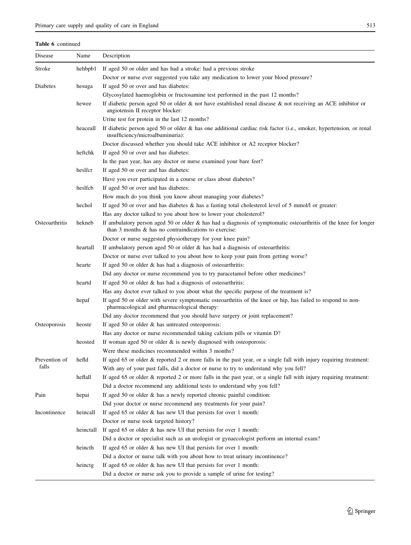# Table 6 continued

| Disease        | Name      | Description                                                                                                                                                                     |
|----------------|-----------|---------------------------------------------------------------------------------------------------------------------------------------------------------------------------------|
| Stroke         | hehbpb1   | If aged 50 or older and has had a stroke: had a previous stroke                                                                                                                 |
|                |           | Doctor or nurse ever suggested you take any medication to lower your blood pressure?                                                                                            |
| Diabetes       | hesuga    | If aged 50 or over and has diabetes:                                                                                                                                            |
|                |           | Glycosylated haemoglobin or fructosamine test performed in the past 12 months?                                                                                                  |
|                | hewee     | If diabetic person aged 50 or older $\&$ not have established renal disease $\&$ not receiving an ACE inhibitor or<br>angiotensin II receptor blocker:                          |
|                |           | Urine test for protein in the last 12 months?                                                                                                                                   |
|                | heaceall  | If diabetic person aged 50 or older & has one additional cardiac risk factor (i.e., smoker, hypertension, or renal<br>insufficiency/microalbuminuria):                          |
|                |           | Doctor discussed whether you should take ACE inhibitor or A2 receptor blocker?                                                                                                  |
|                | heftchk   | If aged 50 or over and has diabetes:                                                                                                                                            |
|                |           | In the past year, has any doctor or nurse examined your bare feet?                                                                                                              |
|                | heslfcr   | If aged 50 or over and has diabetes:                                                                                                                                            |
|                |           | Have you ever participated in a course or class about diabetes?                                                                                                                 |
|                | heslfcb   | If aged 50 or over and has diabetes:                                                                                                                                            |
|                |           | How much do you think you know about managing your diabetes?                                                                                                                    |
|                | hechol    | If aged 50 or over and has diabetes $\&$ has a fasting total cholesterol level of 5 mmol/l or greater:                                                                          |
|                |           | Has any doctor talked to you about how to lower your cholesterol?                                                                                                               |
| Osteoarthritis | hekneb    | If ambulatory person aged 50 or older $\&$ has had a diagnosis of symptomatic osteoarthritis of the knee for longer<br>than 3 months $\&$ has no contraindications to exercise: |
|                |           | Doctor or nurse suggested physiotherapy for your knee pain?                                                                                                                     |
|                | heartall  | If ambulatory person aged 50 or older $\&$ has had a diagnosis of osteoarthritis:                                                                                               |
|                |           | Doctor or nurse ever talked to you about how to keep your pain from getting worse?                                                                                              |
|                | hearte    | If aged 50 or older $\&$ has had a diagnosis of osteoarthritis:                                                                                                                 |
|                |           | Did any doctor or nurse recommend you to try paracetamol before other medicines?                                                                                                |
|                | heartd    | If aged 50 or older $&$ has had a diagnosis of osteoarthritis:                                                                                                                  |
|                |           | Has any doctor ever talked to you about what the specific purpose of the treatment is?                                                                                          |
|                | hepaf     | If aged 50 or older with severe symptomatic osteoarthritis of the knee or hip, has failed to respond to non-<br>pharmacological and pharmacological therapy:                    |
|                |           | Did any doctor recommend that you should have surgery or joint replacement?                                                                                                     |
| Osteoporosis   | heoste    | If aged 50 or older $\&$ has untreated osteoporosis:                                                                                                                            |
|                |           | Has any doctor or nurse recommended taking calcium pills or vitamin D?                                                                                                          |
|                | heosted   | If woman aged 50 or older $\&$ is newly diagnosed with osteoporosis:                                                                                                            |
|                |           | Were these medicines recommended within 3 months?                                                                                                                               |
| Prevention of  | hefld     | If aged 65 or older & reported 2 or more falls in the past year, or a single fall with injury requiring treatment:                                                              |
| falls          |           | With any of your past falls, did a doctor or nurse to try to understand why you fell?                                                                                           |
|                | heflall   | If aged 65 or older $\&$ reported 2 or more falls in the past year, or a single fall with injury requiring treatment:                                                           |
|                |           | Did a doctor recommend any additional tests to understand why you fell?                                                                                                         |
| Pain           | hepai     | If aged 50 or older $\&$ has a newly reported chronic painful condition:                                                                                                        |
|                |           | Did your doctor or nurse recommend any treatments for your pain?                                                                                                                |
| Incontinence   | heincall  | If aged 65 or older $\&$ has new UI that persists for over 1 month:                                                                                                             |
|                |           | Doctor or nurse took targeted history?                                                                                                                                          |
|                | heinctall | If aged 65 or older $\&$ has new UI that persists for over 1 month:                                                                                                             |
|                |           | Did a doctor or specialist such as an urologist or gynaecologist perform an internal exam?                                                                                      |
|                | heincth   | If aged 65 or older $\&$ has new UI that persists for over 1 month:                                                                                                             |
|                |           | Did a doctor or nurse talk with you about how to treat urinary incontinence?                                                                                                    |
|                | heinctg   | If aged 65 or older $\&$ has new UI that persists for over 1 month:                                                                                                             |

Did a doctor or nurse ask you to provide a sample of urine for testing?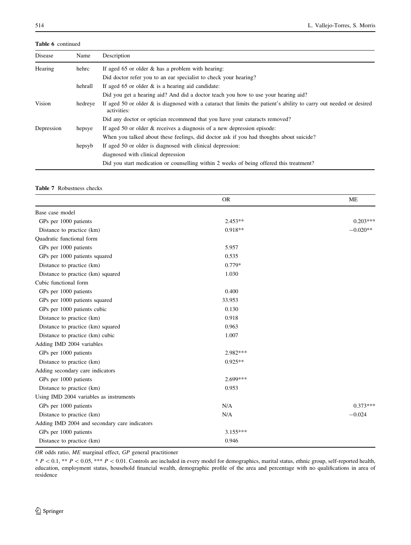<span id="page-15-0"></span>Table 6 continued

| Disease    | Name    | Description                                                                                                                           |
|------------|---------|---------------------------------------------------------------------------------------------------------------------------------------|
| Hearing    | hehrc   | If aged 65 or older $\&$ has a problem with hearing:                                                                                  |
|            |         | Did doctor refer you to an ear specialist to check your hearing?                                                                      |
|            | hehrall | If aged 65 or older $\&$ is a hearing aid candidate:                                                                                  |
|            |         | Did you get a hearing aid? And did a doctor teach you how to use your hearing aid?                                                    |
| Vision     | hedreye | If aged 50 or older $\&$ is diagnosed with a cataract that limits the patient's ability to carry out needed or desired<br>activities: |
|            |         | Did any doctor or optician recommend that you have your cataracts removed?                                                            |
| Depression | hepsye  | If aged 50 or older & receives a diagnosis of a new depression episode:                                                               |
|            |         | When you talked about these feelings, did doctor ask if you had thoughts about suicide?                                               |
|            | hepsyb  | If aged 50 or older is diagnosed with clinical depression:                                                                            |
|            |         | diagnosed with clinical depression                                                                                                    |
|            |         | Did you start medication or counselling within 2 weeks of being offered this treatment?                                               |

# Table 7 Robustness checks

|                                               | <b>OR</b>  | <b>ME</b>  |
|-----------------------------------------------|------------|------------|
| Base case model                               |            |            |
| GPs per 1000 patients                         | $2.453**$  | $0.203***$ |
| Distance to practice (km)                     | $0.918**$  | $-0.020**$ |
| Quadratic functional form                     |            |            |
| GPs per 1000 patients                         | 5.957      |            |
| GPs per 1000 patients squared                 | 0.535      |            |
| Distance to practice (km)                     | $0.779*$   |            |
| Distance to practice (km) squared             | 1.030      |            |
| Cubic functional form                         |            |            |
| GPs per 1000 patients                         | 0.400      |            |
| GPs per 1000 patients squared                 | 33.953     |            |
| GPs per 1000 patients cubic                   | 0.130      |            |
| Distance to practice (km)                     | 0.918      |            |
| Distance to practice (km) squared             | 0.963      |            |
| Distance to practice (km) cubic               | 1.007      |            |
| Adding IMD 2004 variables                     |            |            |
| GPs per 1000 patients                         | 2.982***   |            |
| Distance to practice (km)                     | $0.925**$  |            |
| Adding secondary care indicators              |            |            |
| GPs per 1000 patients                         | $2.699***$ |            |
| Distance to practice (km)                     | 0.953      |            |
| Using IMD 2004 variables as instruments       |            |            |
| GPs per 1000 patients                         | N/A        | $0.373***$ |
| Distance to practice (km)                     | N/A        | $-0.024$   |
| Adding IMD 2004 and secondary care indicators |            |            |
| GPs per 1000 patients                         | $3.155***$ |            |
| Distance to practice (km)                     | 0.946      |            |

OR odds ratio, ME marginal effect, GP general practitioner

 $* P < 0.1, ** P < 0.05, *** P < 0.01$ . Controls are included in every model for demographics, marital status, ethnic group, self-reported health, education, employment status, household financial wealth, demographic profile of the area and percentage with no qualifications in area of residence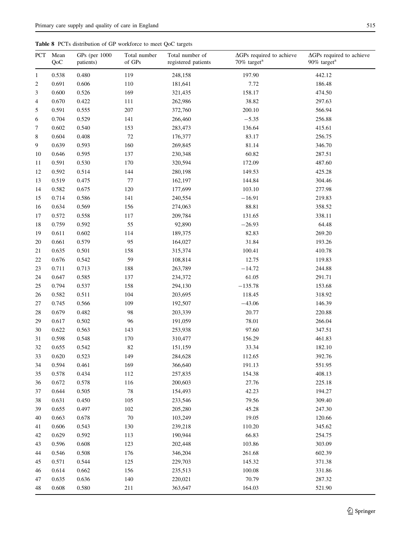<span id="page-16-0"></span>

| Table 8 PCTs distribution of GP workforce to meet QoC targets |
|---------------------------------------------------------------|
|                                                               |

| <b>PCT</b>     | Mean<br>QoC | GPs (per 1000<br>patients) | Total number<br>of GPs | Total number of<br>registered patients | $\Delta$ GPs required to achieve<br>$70\%$ target <sup>a</sup> | $\Delta$ GPs required to achieve<br>$90\%$ target <sup>a</sup> |
|----------------|-------------|----------------------------|------------------------|----------------------------------------|----------------------------------------------------------------|----------------------------------------------------------------|
| 1              | 0.538       | 0.480                      | 119                    | 248,158                                | 197.90                                                         | 442.12                                                         |
| $\overline{c}$ | 0.691       | 0.606                      | 110                    | 181,641                                | 7.72                                                           | 186.48                                                         |
| 3              | 0.600       | 0.526                      | 169                    | 321,435                                | 158.17                                                         | 474.50                                                         |
| 4              | 0.670       | 0.422                      | 111                    | 262,986                                | 38.82                                                          | 297.63                                                         |
| 5              | 0.591       | 0.555                      | 207                    | 372,760                                | 200.10                                                         | 566.94                                                         |
| 6              | 0.704       | 0.529                      | 141                    | 266,460                                | $-5.35$                                                        | 256.88                                                         |
| 7              | 0.602       | 0.540                      | 153                    | 283,473                                | 136.64                                                         | 415.61                                                         |
| 8              | 0.604       | 0.408                      | $72\,$                 | 176,377                                | 83.17                                                          | 256.75                                                         |
| 9              | 0.639       | 0.593                      | 160                    | 269,845                                | 81.14                                                          | 346.70                                                         |
| 10             | 0.646       | 0.595                      | 137                    | 230,348                                | 60.82                                                          | 287.51                                                         |
| 11             | 0.591       | 0.530                      | 170                    | 320,594                                | 172.09                                                         | 487.60                                                         |
| 12             | 0.592       | 0.514                      | 144                    | 280,198                                | 149.53                                                         | 425.28                                                         |
| 13             | 0.519       | 0.475                      | 77                     | 162,197                                | 144.84                                                         | 304.46                                                         |
| 14             | 0.582       | 0.675                      | 120                    | 177,699                                | 103.10                                                         | 277.98                                                         |
| 15             | 0.714       | 0.586                      | 141                    | 240,554                                | $-16.91$                                                       | 219.83                                                         |
| 16             | 0.634       | 0.569                      | 156                    | 274,063                                | 88.81                                                          | 358.52                                                         |
| 17             | 0.572       | 0.558                      | 117                    | 209,784                                | 131.65                                                         | 338.11                                                         |
| 18             | 0.759       | 0.592                      | 55                     | 92,890                                 | $-26.93$                                                       | 64.48                                                          |
| 19             | 0.611       | 0.602                      | 114                    | 189,375                                | 82.83                                                          | 269.20                                                         |
| 20             | 0.661       | 0.579                      | 95                     | 164,027                                | 31.84                                                          | 193.26                                                         |
| 21             | 0.635       | 0.501                      | 158                    | 315,374                                | 100.41                                                         | 410.78                                                         |
| 22             | 0.676       | 0.542                      | 59                     | 108,814                                | 12.75                                                          | 119.83                                                         |
| 23             | 0.711       | 0.713                      | 188                    | 263,789                                | $-14.72$                                                       | 244.88                                                         |
| 24             | 0.647       | 0.585                      | 137                    | 234,372                                | 61.05                                                          | 291.71                                                         |
| 25             | 0.794       | 0.537                      | 158                    | 294,130                                | $-135.78$                                                      | 153.68                                                         |
| 26             | 0.582       | 0.511                      | 104                    | 203,695                                | 118.45                                                         | 318.92                                                         |
| 27             | 0.745       | 0.566                      | 109                    | 192,507                                | $-43.06$                                                       | 146.39                                                         |
| 28             | 0.679       | 0.482                      | 98                     | 203,339                                | 20.77                                                          | 220.88                                                         |
| 29             | 0.617       | 0.502                      | 96                     | 191,059                                | 78.01                                                          | 266.04                                                         |
| 30             | 0.622       | 0.563                      | 143                    | 253,938                                | 97.60                                                          | 347.51                                                         |
| 31             | 0.598       | 0.548                      | 170                    | 310,477                                | 156.29                                                         | 461.83                                                         |
| 32             | 0.655       | 0.542                      | 82                     | 151,159                                | 33.34                                                          | 182.10                                                         |
| 33             | 0.620       | 0.523                      | 149                    | 284,628                                | 112.65                                                         | 392.76                                                         |
| 34             | 0.594       | 0.461                      | 169                    | 366,640                                | 191.13                                                         | 551.95                                                         |
| 35             | 0.578       | 0.434                      | 112                    | 257,835                                | 154.38                                                         | 408.13                                                         |
| 36             | 0.672       | 0.578                      | 116                    | 200,603                                | 27.76                                                          | 225.18                                                         |
| 37             | 0.644       | 0.505                      | $78\,$                 | 154,493                                | 42.23                                                          | 194.27                                                         |
| 38             | 0.631       | 0.450                      | 105                    | 233,546                                | 79.56                                                          | 309.40                                                         |
| 39             | 0.655       | 0.497                      | 102                    | 205,280                                | 45.28                                                          | 247.30                                                         |
| 40             | 0.663       | 0.678                      | $70\,$                 | 103,249                                | 19.05                                                          | 120.66                                                         |
| 41             | 0.606       | 0.543                      | 130                    | 239,218                                | 110.20                                                         | 345.62                                                         |
| 42             | 0.629       | 0.592                      | 113                    | 190,944                                | 66.83                                                          | 254.75                                                         |
| 43             | 0.596       | 0.608                      | 123                    | 202,448                                | 103.86                                                         | 303.09                                                         |
| 44             | 0.546       | 0.508                      | 176                    | 346,204                                | 261.68                                                         | 602.39                                                         |
| 45             | 0.571       | 0.544                      | 125                    | 229,703                                | 145.32                                                         | 371.38                                                         |
| 46             | 0.614       | 0.662                      | 156                    | 235,513                                | 100.08                                                         | 331.86                                                         |
| 47             | 0.635       | 0.636                      | 140                    | 220,021                                | 70.79                                                          | 287.32                                                         |
| 48             | 0.608       | 0.580                      | 211                    | 363,647                                | 164.03                                                         | 521.90                                                         |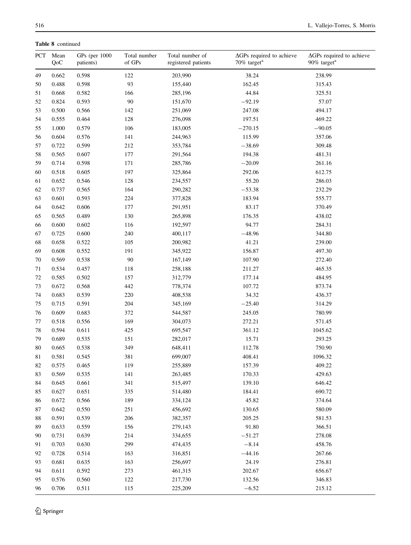Table 8 continued

| <b>PCT</b> | Mean<br>QoC | GPs (per 1000<br>patients) | Total number<br>of GPs | Total number of<br>registered patients | $\Delta$ GPs required to achieve<br>70% target <sup>a</sup> | $\Delta$ GPs required to achieve<br>90% target <sup>a</sup> |
|------------|-------------|----------------------------|------------------------|----------------------------------------|-------------------------------------------------------------|-------------------------------------------------------------|
| 49         | 0.662       | 0.598                      | 122                    | 203,990                                | 38.24                                                       | 238.99                                                      |
| 50         | 0.488       | 0.598                      | 93                     | 155,440                                | 162.45                                                      | 315.43                                                      |
| 51         | 0.668       | 0.582                      | 166                    | 285,196                                | 44.84                                                       | 325.51                                                      |
| 52         | 0.824       | 0.593                      | 90                     | 151,670                                | $-92.19$                                                    | 57.07                                                       |
| 53         | 0.500       | 0.566                      | 142                    | 251,069                                | 247.08                                                      | 494.17                                                      |
| 54         | 0.555       | 0.464                      | 128                    | 276,098                                | 197.51                                                      | 469.22                                                      |
| 55         | 1.000       | 0.579                      | 106                    | 183,005                                | $-270.15$                                                   | $-90.05$                                                    |
| 56         | 0.604       | 0.576                      | 141                    | 244,963                                | 115.99                                                      | 357.06                                                      |
| 57         | 0.722       | 0.599                      | 212                    | 353,784                                | $-38.69$                                                    | 309.48                                                      |
| 58         | 0.565       | 0.607                      | 177                    | 291,564                                | 194.38                                                      | 481.31                                                      |
| 59         | 0.714       | 0.598                      | 171                    | 285,786                                | $-20.09$                                                    | 261.16                                                      |
| 60         | 0.518       | 0.605                      | 197                    | 325,864                                | 292.06                                                      | 612.75                                                      |
| 61         | 0.652       | 0.546                      | 128                    | 234,557                                | 55.20                                                       | 286.03                                                      |
| 62         | 0.737       | 0.565                      | 164                    | 290,282                                | $-53.38$                                                    | 232.29                                                      |
| 63         | 0.601       | 0.593                      | 224                    | 377,828                                | 183.94                                                      | 555.77                                                      |
| 64         | 0.642       | 0.606                      | 177                    | 291,951                                | 83.17                                                       | 370.49                                                      |
| 65         | 0.565       | 0.489                      | 130                    | 265,898                                | 176.35                                                      | 438.02                                                      |
| 66         | 0.600       | 0.602                      | 116                    | 192,597                                | 94.77                                                       | 284.31                                                      |
| 67         | 0.725       | 0.600                      | 240                    | 400,117                                | $-48.96$                                                    | 344.80                                                      |
| 68         | 0.658       | 0.522                      | 105                    | 200,982                                | 41.21                                                       | 239.00                                                      |
| 69         | 0.608       | 0.552                      | 191                    | 345,922                                | 156.87                                                      | 497.30                                                      |
| 70         | 0.569       | 0.538                      | 90                     | 167,149                                | 107.90                                                      | 272.40                                                      |
| 71         | 0.534       | 0.457                      | 118                    | 258,188                                | 211.27                                                      | 465.35                                                      |
| 72         | 0.585       | 0.502                      | 157                    | 312,779                                | 177.14                                                      | 484.95                                                      |
| 73         | 0.672       | 0.568                      | 442                    | 778,374                                | 107.72                                                      | 873.74                                                      |
| 74         | 0.683       | 0.539                      | 220                    | 408,538                                | 34.32                                                       | 436.37                                                      |
| 75         | 0.715       | 0.591                      | 204                    | 345,169                                | $-25.40$                                                    | 314.29                                                      |
| 76         | 0.609       | 0.683                      | 372                    | 544,587                                | 245.05                                                      | 780.99                                                      |
| 77         | 0.518       | 0.556                      | 169                    | 304,073                                | 272.21                                                      | 571.45                                                      |
| 78         | 0.594       | 0.611                      | 425                    | 695,547                                | 361.12                                                      | 1045.62                                                     |
| 79         | 0.689       | 0.535                      | 151                    | 282,017                                | 15.71                                                       | 293.25                                                      |
| 80         | 0.665       | 0.538                      | 349                    | 648,411                                | 112.78                                                      | 750.90                                                      |
| 81         | 0.581       | 0.545                      | 381                    | 699,007                                | 408.41                                                      | 1096.32                                                     |
| 82         | 0.575       | 0.465                      | 119                    | 255,889                                | 157.39                                                      | 409.22                                                      |
| 83         | 0.569       | 0.535                      | 141                    | 263,485                                | 170.33                                                      | 429.63                                                      |
| 84         | 0.645       | 0.661                      | 341                    | 515,497                                | 139.10                                                      | 646.42                                                      |
| 85         | 0.627       | 0.651                      | 335                    | 514,480                                | 184.41                                                      | 690.72                                                      |
| 86         | 0.672       | 0.566                      | 189                    | 334,124                                | 45.82                                                       | 374.64                                                      |
| 87         | 0.642       | 0.550                      | 251                    | 456,692                                | 130.65                                                      | 580.09                                                      |
| 88         | 0.591       | 0.539                      | 206                    | 382,357                                | 205.25                                                      | 581.53                                                      |
| 89         | 0.633       | 0.559                      | 156                    | 279,143                                | 91.80                                                       | 366.51                                                      |
| 90         | 0.731       | 0.639                      | 214                    | 334,655                                | $-51.27$                                                    | 278.08                                                      |
| 91         | 0.703       | 0.630                      | 299                    | 474,435                                | $-8.14$                                                     | 458.76                                                      |
| 92         | 0.728       | 0.514                      | 163                    | 316,851                                | $-44.16$                                                    | 267.66                                                      |
| 93         | 0.681       | 0.635                      | 163                    | 256,697                                | 24.19                                                       | 276.81                                                      |
| 94         | 0.611       | 0.592                      | 273                    | 461,315                                | 202.67                                                      | 656.67                                                      |
| 95         | 0.576       | 0.560                      | 122                    | 217,730                                | 132.56                                                      | 346.83                                                      |
| 96         | 0.706       | 0.511                      | 115                    | 225,209                                | $-6.52$                                                     | 215.12                                                      |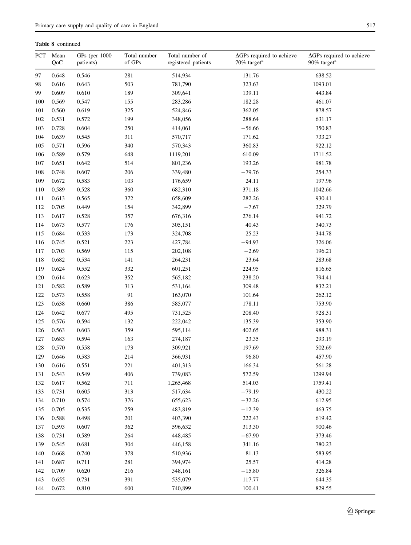| <b>PCT</b> | Mean<br>QoC | GPs (per 1000<br>patients) | Total number<br>of GPs | Total number of<br>registered patients | $\Delta$ GPs required to achieve<br>70% target <sup>a</sup> | $\Delta$ GPs required to achieve<br>$90\%$ target <sup>a</sup> |
|------------|-------------|----------------------------|------------------------|----------------------------------------|-------------------------------------------------------------|----------------------------------------------------------------|
| 97         | 0.648       | 0.546                      | 281                    | 514,934                                | 131.76                                                      | 638.52                                                         |
| 98         | 0.616       | 0.643                      | 503                    | 781,790                                | 323.63                                                      | 1093.01                                                        |
| 99         | 0.609       | 0.610                      | 189                    | 309,641                                | 139.11                                                      | 443.84                                                         |
| 100        | 0.569       | 0.547                      | 155                    | 283,286                                | 182.28                                                      | 461.07                                                         |
| 101        | 0.560       | 0.619                      | 325                    | 524,846                                | 362.05                                                      | 878.57                                                         |
| 102        | 0.531       | 0.572                      | 199                    | 348,056                                | 288.64                                                      | 631.17                                                         |
| 103        | 0.728       | 0.604                      | 250                    | 414,061                                | $-56.66$                                                    | 350.83                                                         |
| 104        | 0.639       | 0.545                      | 311                    | 570,717                                | 171.62                                                      | 733.27                                                         |
| 105        | 0.571       | 0.596                      | 340                    | 570,343                                | 360.83                                                      | 922.12                                                         |
| 106        | 0.589       | 0.579                      | 648                    | 1119,201                               | 610.09                                                      | 1711.52                                                        |
| 107        | 0.651       | 0.642                      | 514                    | 801,236                                | 193.26                                                      | 981.78                                                         |
| 108        | 0.748       | 0.607                      | 206                    | 339,480                                | $-79.76$                                                    | 254.33                                                         |
| 109        | 0.672       | 0.583                      | 103                    | 176,659                                | 24.11                                                       | 197.96                                                         |
| 110        | 0.589       | 0.528                      | 360                    | 682,310                                | 371.18                                                      | 1042.66                                                        |
| 111        | 0.613       | 0.565                      | 372                    | 658,609                                | 282.26                                                      | 930.41                                                         |
| 112        | 0.705       | 0.449                      | 154                    | 342,899                                | $-7.67$                                                     | 329.79                                                         |
| 113        | 0.617       | 0.528                      | 357                    | 676,316                                | 276.14                                                      | 941.72                                                         |
| 114        | 0.673       | 0.577                      | 176                    | 305,151                                | 40.43                                                       | 340.73                                                         |
| 115        | 0.684       | 0.533                      | 173                    | 324,708                                | 25.23                                                       | 344.78                                                         |
| 116        | 0.745       | 0.521                      | 223                    | 427,784                                | $-94.93$                                                    | 326.06                                                         |
| 117        | 0.703       | 0.569                      | 115                    | 202,108                                | $-2.69$                                                     | 196.21                                                         |
| 118        | 0.682       | 0.534                      | 141                    | 264,231                                | 23.64                                                       | 283.68                                                         |
| 119        | 0.624       | 0.552                      | 332                    | 601,251                                | 224.95                                                      | 816.65                                                         |
| 120        | 0.614       | 0.623                      | 352                    | 565,182                                | 238.20                                                      | 794.41                                                         |
| 121        | 0.582       | 0.589                      | 313                    | 531,164                                | 309.48                                                      | 832.21                                                         |
| 122        | 0.573       | 0.558                      | 91                     | 163,070                                | 101.64                                                      | 262.12                                                         |
| 123        | 0.638       | 0.660                      | 386                    | 585,077                                | 178.11                                                      | 753.90                                                         |
| 124        | 0.642       | 0.677                      | 495                    | 731,525                                | 208.40                                                      | 928.31                                                         |
| 125        | 0.576       | 0.594                      | 132                    | 222,042                                | 135.39                                                      | 353.90                                                         |
| 126        | 0.563       | 0.603                      | 359                    | 595,114                                | 402.65                                                      | 988.31                                                         |
| 127        | 0.683       | 0.594                      | 163                    | 274,187                                | 23.35                                                       | 293.19                                                         |
| 128        | 0.570       | 0.558                      | 173                    | 309,921                                | 197.69                                                      | 502.69                                                         |
| 129        | 0.646       | 0.583                      | 214                    | 366,931                                | 96.80                                                       | 457.90                                                         |
| 130        | 0.616       | 0.551                      | 221                    | 401,313                                | 166.34                                                      | 561.28                                                         |
| 131        | 0.543       | 0.549                      | 406                    | 739,083                                | 572.59                                                      | 1299.94                                                        |
| 132        | 0.617       | 0.562                      | 711                    | 1,265,468                              | 514.03                                                      | 1759.41                                                        |
| 133        | 0.731       | 0.605                      | 313                    | 517,634                                | $-79.19$                                                    | 430.22                                                         |
| 134        | 0.710       | 0.574                      | 376                    | 655,623                                | $-32.26$                                                    | 612.95                                                         |
| 135        | 0.705       | 0.535                      | 259                    | 483,819                                | $-12.39$                                                    | 463.75                                                         |
| 136        | 0.588       | 0.498                      | 201                    | 403,390                                | 222.43                                                      | 619.42                                                         |
| 137        | 0.593       | 0.607                      | 362                    | 596,632                                | 313.30                                                      | 900.46                                                         |
| 138        | 0.731       | 0.589                      | 264                    | 448,485                                | $-67.90$                                                    | 373.46                                                         |
| 139        | 0.545       | 0.681                      | 304                    | 446,158                                | 341.16                                                      | 780.23                                                         |
| 140        | 0.668       | 0.740                      | 378                    | 510,936                                | 81.13                                                       | 583.95                                                         |
| 141        | 0.687       | 0.711                      | 281                    | 394,974                                | 25.57                                                       | 414.28                                                         |
| 142        | 0.709       | 0.620                      | 216                    | 348,161                                | $-15.80$                                                    | 326.84                                                         |
| 143        | 0.655       | 0.731                      | 391                    | 535,079                                | 117.77                                                      | 644.35                                                         |
| 144        | 0.672       | 0.810                      | 600                    | 740,899                                | 100.41                                                      | 829.55                                                         |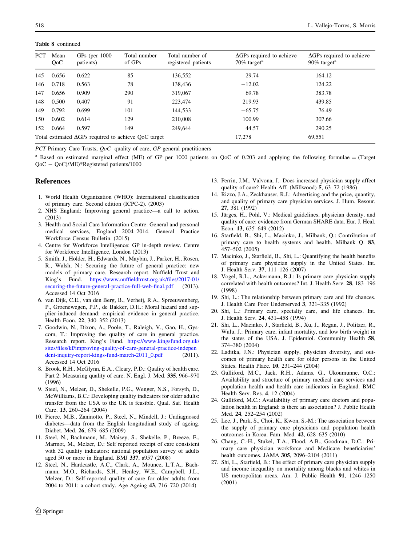<span id="page-19-0"></span>Table 8 continued

| <b>PCT</b>                                                  | Mean<br>QoC | GPs (per $1000$ )<br>patients) | Total number<br>of GPs | Total number of<br>registered patients | $\Delta$ GPs required to achieve<br>$70\%$ target <sup>a</sup> | $\Delta$ GPs required to achieve<br>$90\%$ target <sup>a</sup> |
|-------------------------------------------------------------|-------------|--------------------------------|------------------------|----------------------------------------|----------------------------------------------------------------|----------------------------------------------------------------|
| 145                                                         | 0.656       | 0.622                          | 85                     | 136,552                                | 29.74                                                          | 164.12                                                         |
| 146                                                         | 0.718       | 0.563                          | 78                     | 138,436                                | $-12.02$                                                       | 124.22                                                         |
| 147                                                         | 0.656       | 0.909                          | 290                    | 319,067                                | 69.78                                                          | 383.78                                                         |
| 148                                                         | 0.500       | 0.407                          | 91                     | 223,474                                | 219.93                                                         | 439.85                                                         |
| 149                                                         | 0.792       | 0.699                          | 101                    | 144,533                                | $-65.75$                                                       | 76.49                                                          |
| 150                                                         | 0.602       | 0.614                          | 129                    | 210,008                                | 100.99                                                         | 307.66                                                         |
| 152                                                         | 0.664       | 0.597                          | 149                    | 249,644                                | 44.57                                                          | 290.25                                                         |
| Total estimated $\Delta GPs$ required to achieve QoC target |             |                                |                        |                                        | 17,278                                                         | 69,551                                                         |

PCT Primary Care Trusts, QoC quality of care, GP general practitioners

<sup>a</sup> Based on estimated marginal effect (ME) of GP per 1000 patients on QoC of 0.203 and applying the following formulae = (Target QoC - QoC)/ME)\*Registered patients/1000

#### References

- 1. World Health Organization (WHO): International classification of primary care. Second edition (ICPC-2). (2003)
- 2. NHS England: Improving general practice—a call to action. (2013)
- 3. Health and Social Care Information Centre: General and personal medical services, England—2004–2014. General Practice Workforce Census Bulletin. (2015)
- 4. Centre for Workforce Intelligence: GP in-depth review. Centre for Workforce Intelligence, London (2013)
- 5. Smith, J., Holder, H., Edwards, N., Maybin, J., Parker, H., Rosen, R., Walsh, N.: Securing the future of general practice: new models of primary care. Research report. Nuffield Trust and King's Fund. [https://www.nuffieldtrust.org.uk/files/2017-01/](https://www.nuffieldtrust.org.uk/files/2017-01/securing-the-future-general-practice-full-web-final.pdf) [securing-the-future-general-practice-full-web-final.pdf](https://www.nuffieldtrust.org.uk/files/2017-01/securing-the-future-general-practice-full-web-final.pdf) (2013). Accessed 14 Oct 2016
- 6. van Dijk, C.E., van den Berg, B., Verheij, R.A., Spreeuwenberg, P., Groenewegen, P.P., de Bakker, D.H.: Moral hazard and supplier-induced demand: empirical evidence in general practice. Health Econ. 22, 340–352 (2013)
- 7. Goodwin, N., Dixon, A., Poole, T., Raleigh, V., Gao, H., Gyscom, T.: Improving the quality of care in general practice. Research report. King's Fund. [https://www.kingsfund.org.uk/](https://www.kingsfund.org.uk/sites/files/kf/improving-quality-of-care-general-practice-independent-inquiry-report-kings-fund-march-2011_0.pdf) [sites/files/kf/improving-quality-of-care-general-practice-indepen](https://www.kingsfund.org.uk/sites/files/kf/improving-quality-of-care-general-practice-independent-inquiry-report-kings-fund-march-2011_0.pdf) [dent-inquiry-report-kings-fund-march-2011\\_0.pdf](https://www.kingsfund.org.uk/sites/files/kf/improving-quality-of-care-general-practice-independent-inquiry-report-kings-fund-march-2011_0.pdf) (2011). Accessed 14 Oct 2016
- 8. Brook, R.H., McGlynn, E.A., Cleary, P.D.: Quality of health care. Part 2: Measuring quality of care. N. Engl. J. Med. 335, 966–970 (1996)
- 9. Steel, N., Melzer, D., Shekelle, P.G., Wenger, N.S., Forsyth, D., McWilliams, B.C.: Developing quality indicators for older adults: transfer from the USA to the UK is feasible. Qual. Saf. Health Care. 13, 260–264 (2004)
- 10. Pierce, M.B., Zaninotto, P., Steel, N., Mindell, J.: Undiagnosed diabetes—data from the English longitudinal study of ageing. Diabet. Med. 26, 679–685 (2009)
- 11. Steel, N., Bachmann, M., Maisey, S., Shekelle, P., Breeze, E., Marmot, M., Melzer, D.: Self reported receipt of care consistent with 32 quality indicators: national population survey of adults aged 50 or more in England. BMJ 337, a957 (2008)
- 12. Steel, N., Hardcastle, A.C., Clark, A., Mounce, L.T.A., Bachmann, M.O., Richards, S.H., Henley, W.E., Campbell, J.L., Melzer, D.: Self-reported quality of care for older adults from 2004 to 2011: a cohort study. Age Ageing 43, 716–720 (2014)
- 13. Perrin, J.M., Valvona, J.: Does increased physician supply affect quality of care? Health Aff. (Millwood) 5, 63–72 (1986)
- 14. Rizzo, J.A., Zeckhauser, R.J.: Advertising and the price, quantity, and quality of primary care physician services. J. Hum. Resour. 27, 381 (1992)
- 15. Jürges, H., Pohl, V.: Medical guidelines, physician density, and quality of care: evidence from German SHARE data. Eur. J. Heal. Econ. 13, 635–649 (2012)
- 16. Starfield, B., Shi, L., Macinko, J., Milbank, Q.: Contribution of primary care to health systems and health. Milbank Q. 83, 457–502 (2005)
- 17. Macinko, J., Starfield, B., Shi, L.: Quantifying the health benefits of primary care physician supply in the United States. Int. J. Health Serv. 37, 111–126 (2007)
- 18. Vogel, R.L., Ackermann, R.J.: Is primary care physician supply correlated with health outcomes? Int. J. Health Serv. 28, 183–196 (1998)
- 19. Shi, L.: The relationship between primary care and life chances. J. Health Care Poor Underserved 3, 321–335 (1992)
- 20. Shi, L.: Primary care, specialty care, and life chances. Int. J. Health Serv. 24, 431–458 (1994)
- 21. Shi, L., Macinko, J., Starfield, B., Xu, J., Regan, J., Politzer, R., Wulu, J.: Primary care, infant mortality, and low birth weight in the states of the USA. J. Epidemiol. Community Health 58, 374–380 (2004)
- 22. Laditka, J.N.: Physician supply, physician diversity, and outcomes of primary health care for older persons in the United States. Health Place. 10, 231–244 (2004)
- 23. Gulliford, M.C., Jack, R.H., Adams, G., Ukoumunne, O.C.: Availability and structure of primary medical care services and population health and health care indicators in England. BMC Health Serv. Res. 4, 12 (2004)
- 24. Gulliford, M.C.: Availability of primary care doctors and population health in England: is there an association? J. Public Health Med. 24, 252–254 (2002)
- 25. Lee, J., Park, S., Choi, K., Kwon, S.-M.: The association between the supply of primary care physicians and population health outcomes in Korea. Fam. Med. 42, 628–635 (2010)
- 26. Chang, C.-H., Stukel, T.A., Flood, A.B., Goodman, D.C.: Primary care physician workforce and Medicare beneficiaries' health outcomes. JAMA 305, 2096–2104 (2011)
- 27. Shi, L., Starfield, B.: The effect of primary care physician supply and income inequality on mortality among blacks and whites in US metropolitan areas. Am. J. Public Health 91, 1246–1250 (2001)